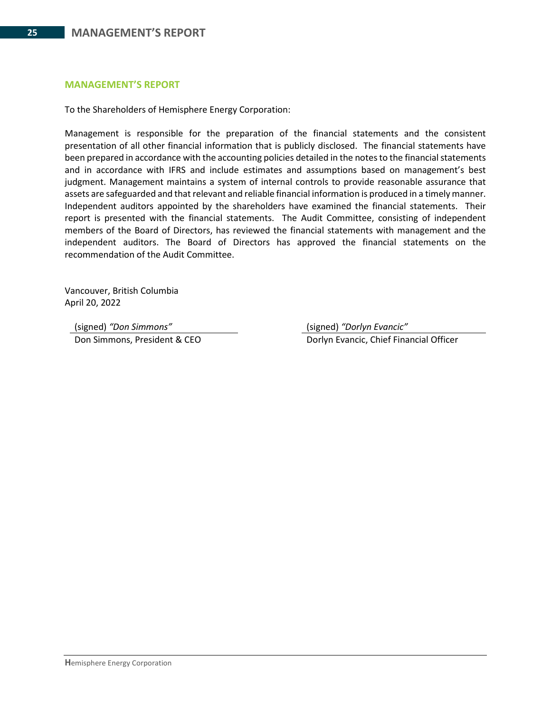#### **MANAGEMENT'S REPORT**

To the Shareholders of Hemisphere Energy Corporation:

Management is responsible for the preparation of the financial statements and the consistent presentation of all other financial information that is publicly disclosed. The financial statements have been prepared in accordance with the accounting policies detailed in the notes to the financial statements and in accordance with IFRS and include estimates and assumptions based on management's best judgment. Management maintains a system of internal controls to provide reasonable assurance that assets are safeguarded and that relevant and reliable financial information is produced in a timely manner. Independent auditors appointed by the shareholders have examined the financial statements. Their report is presented with the financial statements. The Audit Committee, consisting of independent members of the Board of Directors, has reviewed the financial statements with management and the independent auditors. The Board of Directors has approved the financial statements on the recommendation of the Audit Committee.

Vancouver, British Columbia April 20, 2022

(signed) *"Don Simmons"* (signed) *"Dorlyn Evancic"*

Don Simmons, President & CEO Dorlyn Evancic, Chief Financial Officer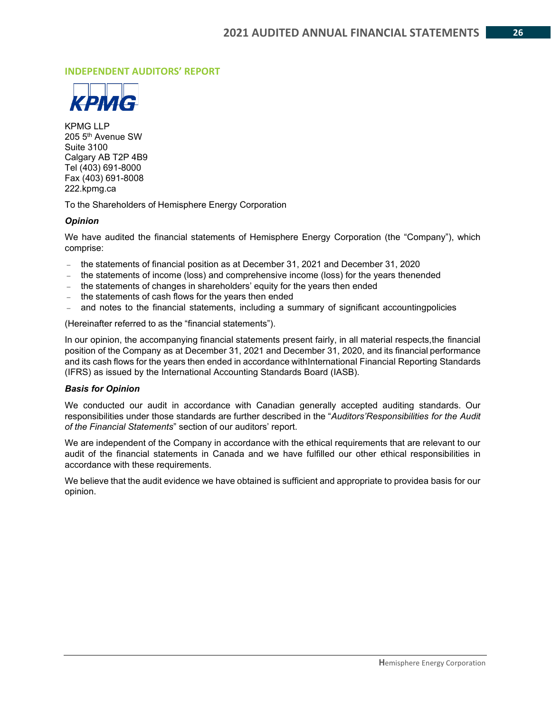#### **INDEPENDENT AUDITORS' REPORT**



KPMG LLP 205 5th Avenue SW Suite 3100 Calgary AB T2P 4B9 Tel (403) 691-8000 Fax (403) 691-8008 222.kpmg.ca

To the Shareholders of Hemisphere Energy Corporation

#### *Opinion*

We have audited the financial statements of Hemisphere Energy Corporation (the "Company"), which comprise:

- − the statements of financial position as at December 31, 2021 and December 31, 2020
- − the statements of income (loss) and comprehensive income (loss) for the years thenended
- − the statements of changes in shareholders' equity for the years then ended
- − the statements of cash flows for the years then ended
- and notes to the financial statements, including a summary of significant accountingpolicies

(Hereinafter referred to as the "financial statements").

In our opinion, the accompanying financial statements present fairly, in all material respects,the financial position of the Company as at December 31, 2021 and December 31, 2020, and its financial performance and its cash flows for the years then ended in accordance withInternational Financial Reporting Standards (IFRS) as issued by the International Accounting Standards Board (IASB).

#### *Basis for Opinion*

We conducted our audit in accordance with Canadian generally accepted auditing standards. Our responsibilities under those standards are further described in the "*Auditors'Responsibilities for the Audit of the Financial Statements*" section of our auditors' report.

We are independent of the Company in accordance with the ethical requirements that are relevant to our audit of the financial statements in Canada and we have fulfilled our other ethical responsibilities in accordance with these requirements.

We believe that the audit evidence we have obtained is sufficient and appropriate to providea basis for our opinion.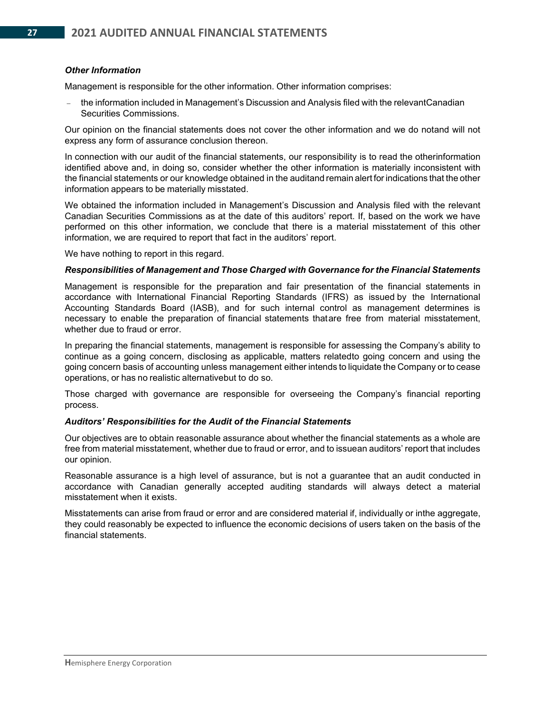#### *Other Information*

Management is responsible for the other information. Other information comprises:

the information included in Management's Discussion and Analysis filed with the relevantCanadian Securities Commissions.

Our opinion on the financial statements does not cover the other information and we do notand will not express any form of assurance conclusion thereon.

In connection with our audit of the financial statements, our responsibility is to read the otherinformation identified above and, in doing so, consider whether the other information is materially inconsistent with the financial statements or our knowledge obtained in the auditand remain alert for indications that the other information appears to be materially misstated.

We obtained the information included in Management's Discussion and Analysis filed with the relevant Canadian Securities Commissions as at the date of this auditors' report. If, based on the work we have performed on this other information, we conclude that there is a material misstatement of this other information, we are required to report that fact in the auditors' report.

We have nothing to report in this regard.

#### *Responsibilities of Management and Those Charged with Governance for the Financial Statements*

Management is responsible for the preparation and fair presentation of the financial statements in accordance with International Financial Reporting Standards (IFRS) as issued by the International Accounting Standards Board (IASB), and for such internal control as management determines is necessary to enable the preparation of financial statements thatare free from material misstatement, whether due to fraud or error.

In preparing the financial statements, management is responsible for assessing the Company's ability to continue as a going concern, disclosing as applicable, matters relatedto going concern and using the going concern basis of accounting unless management either intends to liquidate the Company or to cease operations, or has no realistic alternativebut to do so.

Those charged with governance are responsible for overseeing the Company's financial reporting process.

#### *Auditors' Responsibilities for the Audit of the Financial Statements*

Our objectives are to obtain reasonable assurance about whether the financial statements as a whole are free from material misstatement, whether due to fraud or error, and to issuean auditors' report that includes our opinion.

Reasonable assurance is a high level of assurance, but is not a guarantee that an audit conducted in accordance with Canadian generally accepted auditing standards will always detect a material misstatement when it exists.

Misstatements can arise from fraud or error and are considered material if, individually or inthe aggregate, they could reasonably be expected to influence the economic decisions of users taken on the basis of the financial statements.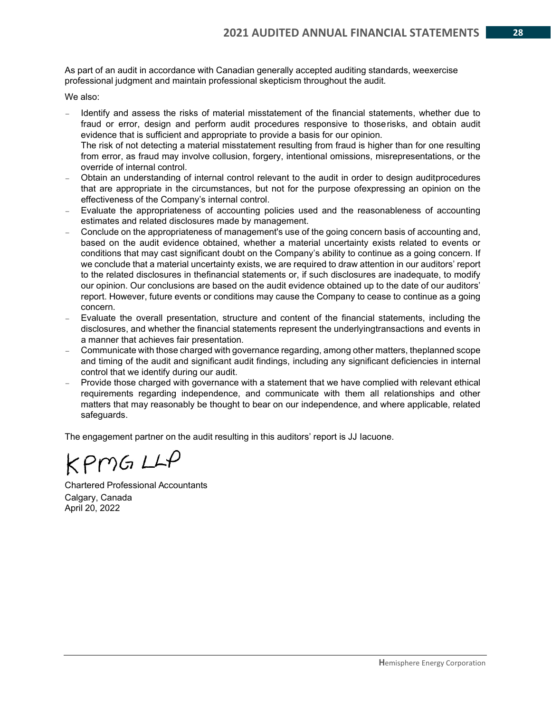As part of an audit in accordance with Canadian generally accepted auditing standards, weexercise professional judgment and maintain professional skepticism throughout the audit.

We also:

- Identify and assess the risks of material misstatement of the financial statements, whether due to fraud or error, design and perform audit procedures responsive to thoserisks, and obtain audit evidence that is sufficient and appropriate to provide a basis for our opinion. The risk of not detecting a material misstatement resulting from fraud is higher than for one resulting from error, as fraud may involve collusion, forgery, intentional omissions, misrepresentations, or the
- override of internal control. − Obtain an understanding of internal control relevant to the audit in order to design auditprocedures that are appropriate in the circumstances, but not for the purpose ofexpressing an opinion on the effectiveness of the Company's internal control.
- − Evaluate the appropriateness of accounting policies used and the reasonableness of accounting estimates and related disclosures made by management.
- − Conclude on the appropriateness of management's use of the going concern basis of accounting and, based on the audit evidence obtained, whether a material uncertainty exists related to events or conditions that may cast significant doubt on the Company's ability to continue as a going concern. If we conclude that a material uncertainty exists, we are required to draw attention in our auditors' report to the related disclosures in thefinancial statements or, if such disclosures are inadequate, to modify our opinion. Our conclusions are based on the audit evidence obtained up to the date of our auditors' report. However, future events or conditions may cause the Company to cease to continue as a going concern.
- − Evaluate the overall presentation, structure and content of the financial statements, including the disclosures, and whether the financial statements represent the underlyingtransactions and events in a manner that achieves fair presentation.
- − Communicate with those charged with governance regarding, among other matters, theplanned scope and timing of the audit and significant audit findings, including any significant deficiencies in internal control that we identify during our audit.
- − Provide those charged with governance with a statement that we have complied with relevant ethical requirements regarding independence, and communicate with them all relationships and other matters that may reasonably be thought to bear on our independence, and where applicable, related safeguards.

The engagement partner on the audit resulting in this auditors' report is JJ Iacuone.

 $KPMGLL$ 

Chartered Professional Accountants Calgary, Canada April 20, 2022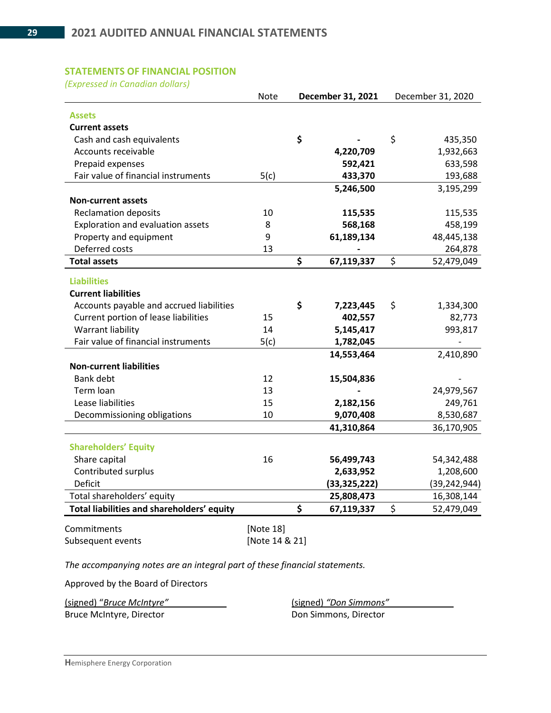### **STATEMENTS OF FINANCIAL POSITION**

*(Expressed in Canadian dollars)* 

|                                            | <b>Note</b> | December 31, 2021 | December 31, 2020 |
|--------------------------------------------|-------------|-------------------|-------------------|
| <b>Assets</b>                              |             |                   |                   |
| <b>Current assets</b>                      |             |                   |                   |
| Cash and cash equivalents                  |             | \$                | \$<br>435,350     |
| Accounts receivable                        |             | 4,220,709         | 1,932,663         |
| Prepaid expenses                           |             | 592,421           | 633,598           |
| Fair value of financial instruments        | 5(c)        | 433,370           | 193,688           |
|                                            |             | 5,246,500         | 3,195,299         |
| <b>Non-current assets</b>                  |             |                   |                   |
| <b>Reclamation deposits</b>                | 10          | 115,535           | 115,535           |
| Exploration and evaluation assets          | 8           | 568,168           | 458,199           |
| Property and equipment                     | 9           | 61,189,134        | 48,445,138        |
| Deferred costs                             | 13          |                   | 264,878           |
| <b>Total assets</b>                        |             | \$<br>67,119,337  | \$<br>52,479,049  |
|                                            |             |                   |                   |
| <b>Liabilities</b>                         |             |                   |                   |
| <b>Current liabilities</b>                 |             |                   |                   |
| Accounts payable and accrued liabilities   |             | \$<br>7,223,445   | \$<br>1,334,300   |
| Current portion of lease liabilities       | 15          | 402,557           | 82,773            |
| Warrant liability                          | 14          | 5,145,417         | 993,817           |
| Fair value of financial instruments        | 5(c)        | 1,782,045         |                   |
|                                            |             | 14,553,464        | 2,410,890         |
| <b>Non-current liabilities</b>             |             |                   |                   |
| <b>Bank debt</b>                           | 12          | 15,504,836        |                   |
| Term loan                                  | 13          |                   | 24,979,567        |
| Lease liabilities                          | 15          | 2,182,156         | 249,761           |
| Decommissioning obligations                | 10          | 9,070,408         | 8,530,687         |
|                                            |             | 41,310,864        | 36,170,905        |
| <b>Shareholders' Equity</b>                |             |                   |                   |
| Share capital                              | 16          | 56,499,743        | 54,342,488        |
| Contributed surplus                        |             | 2,633,952         | 1,208,600         |
| Deficit                                    |             | (33, 325, 222)    | (39, 242, 944)    |
| Total shareholders' equity                 |             | 25,808,473        | 16,308,144        |
| Total liabilities and shareholders' equity |             | \$<br>67,119,337  | \$<br>52,479,049  |
|                                            |             |                   |                   |

Commitments [Note 18] Subsequent events [Note 14 & 21]

*The accompanying notes are an integral part of these financial statements.*

Approved by the Board of Directors

(signed) "*Bruce McIntyre"* (signed) *"Don Simmons"*  Bruce McIntyre, Director **Don Simmons**, Director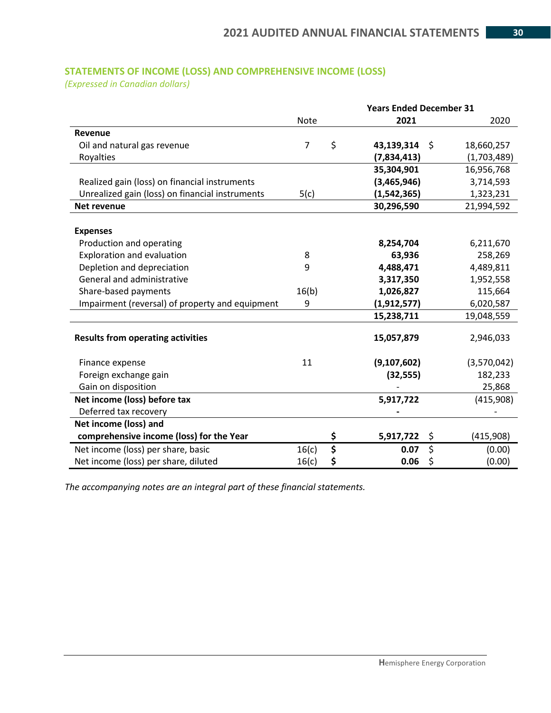## **STATEMENTS OF INCOME (LOSS) AND COMPREHENSIVE INCOME (LOSS)**

*(Expressed in Canadian dollars)*

|                                                 |                | <b>Years Ended December 31</b> |                  |
|-------------------------------------------------|----------------|--------------------------------|------------------|
|                                                 | <b>Note</b>    | 2021                           | 2020             |
| Revenue                                         |                |                                |                  |
| Oil and natural gas revenue                     | $\overline{7}$ | \$<br>43,139,314               | \$<br>18,660,257 |
| Royalties                                       |                | (7,834,413)                    | (1,703,489)      |
|                                                 |                | 35,304,901                     | 16,956,768       |
| Realized gain (loss) on financial instruments   |                | (3,465,946)                    | 3,714,593        |
| Unrealized gain (loss) on financial instruments | 5(c)           | (1,542,365)                    | 1,323,231        |
| <b>Net revenue</b>                              |                | 30,296,590                     | 21,994,592       |
|                                                 |                |                                |                  |
| <b>Expenses</b>                                 |                |                                |                  |
| Production and operating                        |                | 8,254,704                      | 6,211,670        |
| Exploration and evaluation                      | 8              | 63,936                         | 258,269          |
| Depletion and depreciation                      | 9              | 4,488,471                      | 4,489,811        |
| General and administrative                      |                | 3,317,350                      | 1,952,558        |
| Share-based payments                            | 16(b)          | 1,026,827                      | 115,664          |
| Impairment (reversal) of property and equipment | 9              | (1, 912, 577)                  | 6,020,587        |
|                                                 |                | 15,238,711                     | 19,048,559       |
| <b>Results from operating activities</b>        |                | 15,057,879                     | 2,946,033        |
| Finance expense                                 | 11             | (9,107,602)                    | (3,570,042)      |
| Foreign exchange gain                           |                | (32, 555)                      | 182,233          |
| Gain on disposition                             |                |                                | 25,868           |
| Net income (loss) before tax                    |                | 5,917,722                      | (415,908)        |
| Deferred tax recovery                           |                |                                |                  |
| Net income (loss) and                           |                |                                |                  |
| comprehensive income (loss) for the Year        |                | \$<br>5,917,722                | \$<br>(415,908)  |
| Net income (loss) per share, basic              | 16(c)          | \$<br>0.07                     | \$<br>(0.00)     |
| Net income (loss) per share, diluted            | 16(c)          | \$<br>0.06                     | \$<br>(0.00)     |

*The accompanying notes are an integral part of these financial statements.*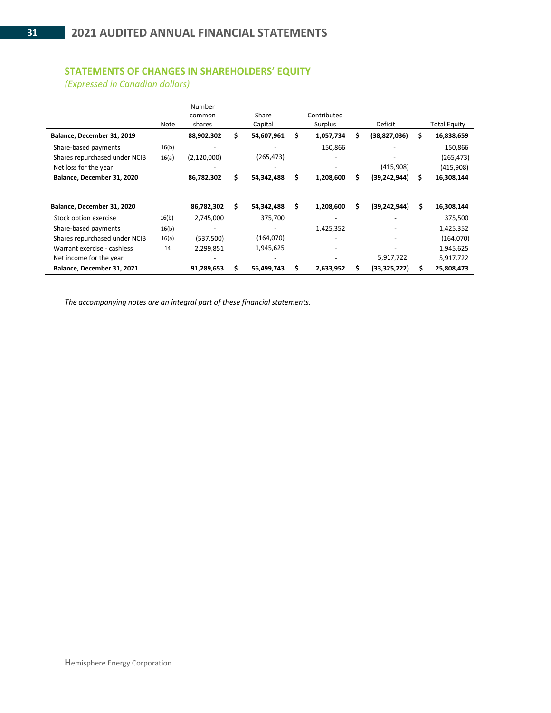## **STATEMENTS OF CHANGES IN SHAREHOLDERS' EQUITY**

*(Expressed in Canadian dollars)*

|                               | Note  | Number<br>common<br>shares |     | Share<br>Capital |    | Contributed<br>Surplus |    | Deficit        |    | <b>Total Equity</b> |
|-------------------------------|-------|----------------------------|-----|------------------|----|------------------------|----|----------------|----|---------------------|
| Balance, December 31, 2019    |       | 88,902,302                 | s   | 54,607,961       | Ś. | 1,057,734              | \$ | (38,827,036)   | s  | 16,838,659          |
| Share-based payments          | 16(b) |                            |     |                  |    | 150,866                |    |                |    | 150,866             |
| Shares repurchased under NCIB | 16(a) | (2, 120, 000)              |     | (265, 473)       |    |                        |    |                |    | (265, 473)          |
| Net loss for the year         |       |                            |     |                  |    |                        |    | (415,908)      |    | (415,908)           |
| Balance, December 31, 2020    |       | 86,782,302                 |     | 54,342,488       | \$ | 1,208,600              | \$ | (39, 242, 944) | \$ | 16,308,144          |
| Balance, December 31, 2020    |       | 86,782,302                 | \$. | 54,342,488       | Ŝ. | 1,208,600              | \$ | (39, 242, 944) | \$ | 16,308,144          |
| Stock option exercise         | 16(b) | 2,745,000                  |     | 375,700          |    |                        |    |                |    | 375,500             |
| Share-based payments          | 16(b) |                            |     |                  |    | 1,425,352              |    |                |    | 1,425,352           |
| Shares repurchased under NCIB | 16(a) | (537,500)                  |     | (164,070)        |    |                        |    |                |    | (164,070)           |
| Warrant exercise - cashless   | 14    | 2,299,851                  |     | 1,945,625        |    |                        |    |                |    | 1,945,625           |
| Net income for the year       |       |                            |     |                  |    |                        |    | 5,917,722      |    | 5,917,722           |
| Balance, December 31, 2021    |       | 91,289,653                 |     | 56,499,743       | S  | 2,633,952              | Ś. | (33, 325, 222) |    | 25,808,473          |

*The accompanying notes are an integral part of these financial statements.*

 $\blacksquare$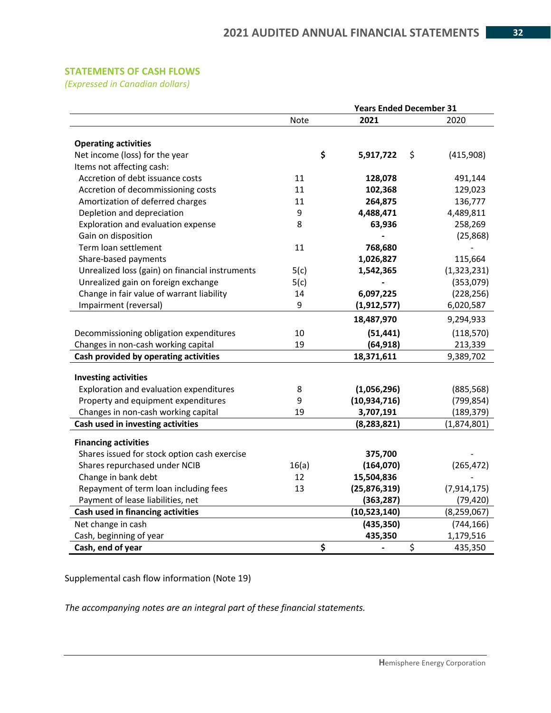## **STATEMENTS OF CASH FLOWS**

*(Expressed in Canadian dollars)*

|                                                 | <b>Years Ended December 31</b> |                      |                 |  |  |  |  |  |
|-------------------------------------------------|--------------------------------|----------------------|-----------------|--|--|--|--|--|
|                                                 | Note                           | 2021                 | 2020            |  |  |  |  |  |
|                                                 |                                |                      |                 |  |  |  |  |  |
| <b>Operating activities</b>                     |                                |                      |                 |  |  |  |  |  |
| Net income (loss) for the year                  |                                | \$<br>5,917,722      | \$<br>(415,908) |  |  |  |  |  |
| Items not affecting cash:                       |                                |                      |                 |  |  |  |  |  |
| Accretion of debt issuance costs                | 11                             | 128,078              | 491,144         |  |  |  |  |  |
| Accretion of decommissioning costs              | 11                             | 102,368              | 129,023         |  |  |  |  |  |
| Amortization of deferred charges                | 11                             | 264,875              | 136,777         |  |  |  |  |  |
| Depletion and depreciation                      | 9                              | 4,488,471            | 4,489,811       |  |  |  |  |  |
| Exploration and evaluation expense              | 8                              | 63,936               | 258,269         |  |  |  |  |  |
| Gain on disposition                             |                                |                      | (25, 868)       |  |  |  |  |  |
| Term loan settlement                            | 11                             | 768,680              |                 |  |  |  |  |  |
| Share-based payments                            |                                | 1,026,827            | 115,664         |  |  |  |  |  |
| Unrealized loss (gain) on financial instruments | 5(c)                           | 1,542,365            | (1,323,231)     |  |  |  |  |  |
| Unrealized gain on foreign exchange             | 5(c)                           |                      | (353,079)       |  |  |  |  |  |
| Change in fair value of warrant liability       | 14                             | 6,097,225            | (228, 256)      |  |  |  |  |  |
| Impairment (reversal)                           | 9                              | (1, 912, 577)        | 6,020,587       |  |  |  |  |  |
|                                                 |                                | 18,487,970           | 9,294,933       |  |  |  |  |  |
| Decommissioning obligation expenditures         | 10                             | (51, 441)            | (118, 570)      |  |  |  |  |  |
| Changes in non-cash working capital             | 19                             | (64, 918)            | 213,339         |  |  |  |  |  |
| Cash provided by operating activities           |                                | 18,371,611           | 9,389,702       |  |  |  |  |  |
|                                                 |                                |                      |                 |  |  |  |  |  |
| <b>Investing activities</b>                     |                                |                      |                 |  |  |  |  |  |
| Exploration and evaluation expenditures         | 8                              | (1,056,296)          | (885, 568)      |  |  |  |  |  |
| Property and equipment expenditures             | 9                              | (10, 934, 716)       | (799, 854)      |  |  |  |  |  |
| Changes in non-cash working capital             | 19                             | 3,707,191            | (189, 379)      |  |  |  |  |  |
| Cash used in investing activities               |                                | (8, 283, 821)        | (1,874,801)     |  |  |  |  |  |
| <b>Financing activities</b>                     |                                |                      |                 |  |  |  |  |  |
| Shares issued for stock option cash exercise    |                                | 375,700              |                 |  |  |  |  |  |
| Shares repurchased under NCIB                   | 16(a)                          | (164, 070)           | (265, 472)      |  |  |  |  |  |
| Change in bank debt                             | 12                             | 15,504,836           |                 |  |  |  |  |  |
| Repayment of term loan including fees           | 13                             | (25,876,319)         | (7, 914, 175)   |  |  |  |  |  |
| Payment of lease liabilities, net               |                                | (363, 287)           | (79, 420)       |  |  |  |  |  |
| Cash used in financing activities               |                                | (10,523,140)         | (8, 259, 067)   |  |  |  |  |  |
| Net change in cash                              |                                | (435, 350)           | (744, 166)      |  |  |  |  |  |
| Cash, beginning of year                         |                                | 435,350              | 1,179,516       |  |  |  |  |  |
| Cash, end of year                               |                                | \$<br>$\blacksquare$ | \$<br>435,350   |  |  |  |  |  |

Supplemental cash flow information (Note 19)

*The accompanying notes are an integral part of these financial statements.*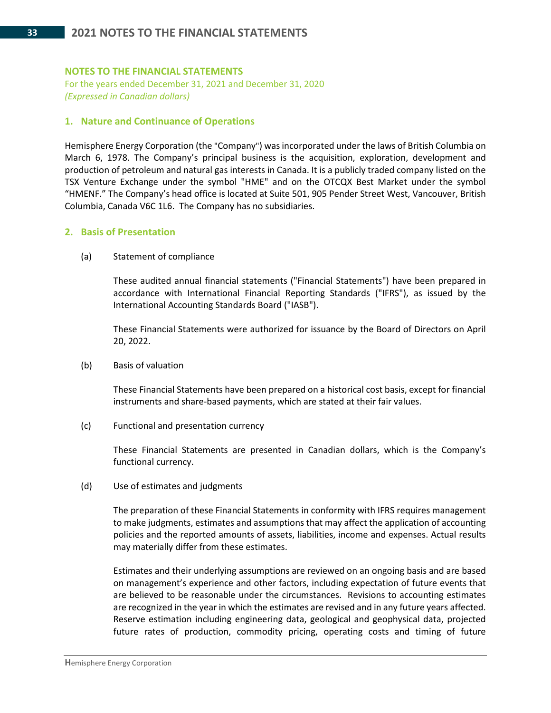#### **NOTES TO THE FINANCIAL STATEMENTS**

For the years ended December 31, 2021 and December 31, 2020 *(Expressed in Canadian dollars)*

#### **1. Nature and Continuance of Operations**

Hemisphere Energy Corporation (the "Company") was incorporated under the laws of British Columbia on March 6, 1978. The Company's principal business is the acquisition, exploration, development and production of petroleum and natural gas interests in Canada. It is a publicly traded company listed on the TSX Venture Exchange under the symbol "HME" and on the OTCQX Best Market under the symbol "HMENF." The Company's head office is located at Suite 501, 905 Pender Street West, Vancouver, British Columbia, Canada V6C 1L6. The Company has no subsidiaries.

#### **2. Basis of Presentation**

(a) Statement of compliance

These audited annual financial statements ("Financial Statements") have been prepared in accordance with International Financial Reporting Standards ("IFRS"), as issued by the International Accounting Standards Board ("IASB").

These Financial Statements were authorized for issuance by the Board of Directors on April 20, 2022.

(b) Basis of valuation

These Financial Statements have been prepared on a historical cost basis, except for financial instruments and share-based payments, which are stated at their fair values.

(c) Functional and presentation currency

These Financial Statements are presented in Canadian dollars, which is the Company's functional currency.

(d) Use of estimates and judgments

The preparation of these Financial Statements in conformity with IFRS requires management to make judgments, estimates and assumptions that may affect the application of accounting policies and the reported amounts of assets, liabilities, income and expenses. Actual results may materially differ from these estimates.

Estimates and their underlying assumptions are reviewed on an ongoing basis and are based on management's experience and other factors, including expectation of future events that are believed to be reasonable under the circumstances. Revisions to accounting estimates are recognized in the year in which the estimates are revised and in any future years affected. Reserve estimation including engineering data, geological and geophysical data, projected future rates of production, commodity pricing, operating costs and timing of future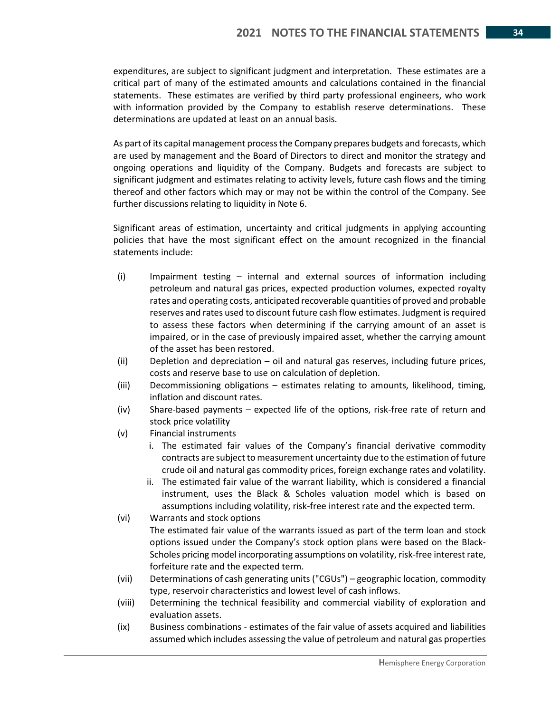expenditures, are subject to significant judgment and interpretation. These estimates are a critical part of many of the estimated amounts and calculations contained in the financial statements. These estimates are verified by third party professional engineers, who work with information provided by the Company to establish reserve determinations. These determinations are updated at least on an annual basis.

As part of its capital management process the Company prepares budgets and forecasts, which are used by management and the Board of Directors to direct and monitor the strategy and ongoing operations and liquidity of the Company. Budgets and forecasts are subject to significant judgment and estimates relating to activity levels, future cash flows and the timing thereof and other factors which may or may not be within the control of the Company. See further discussions relating to liquidity in Note 6.

Significant areas of estimation, uncertainty and critical judgments in applying accounting policies that have the most significant effect on the amount recognized in the financial statements include:

- (i) Impairment testing internal and external sources of information including petroleum and natural gas prices, expected production volumes, expected royalty rates and operating costs, anticipated recoverable quantities of proved and probable reserves and rates used to discount future cash flow estimates. Judgment is required to assess these factors when determining if the carrying amount of an asset is impaired, or in the case of previously impaired asset, whether the carrying amount of the asset has been restored.
- (ii) Depletion and depreciation oil and natural gas reserves, including future prices, costs and reserve base to use on calculation of depletion.
- (iii) Decommissioning obligations estimates relating to amounts, likelihood, timing, inflation and discount rates.
- (iv) Share-based payments expected life of the options, risk-free rate of return and stock price volatility
- (v) Financial instruments
	- i. The estimated fair values of the Company's financial derivative commodity contracts are subject to measurement uncertainty due to the estimation of future crude oil and natural gas commodity prices, foreign exchange rates and volatility.
	- ii. The estimated fair value of the warrant liability, which is considered a financial instrument, uses the Black & Scholes valuation model which is based on assumptions including volatility, risk-free interest rate and the expected term.
- (vi) Warrants and stock options

The estimated fair value of the warrants issued as part of the term loan and stock options issued under the Company's stock option plans were based on the Black-Scholes pricing model incorporating assumptions on volatility, risk-free interest rate, forfeiture rate and the expected term.

- (vii) Determinations of cash generating units ("CGUs") geographic location, commodity type, reservoir characteristics and lowest level of cash inflows.
- (viii) Determining the technical feasibility and commercial viability of exploration and evaluation assets.
- (ix) Business combinations estimates of the fair value of assets acquired and liabilities assumed which includes assessing the value of petroleum and natural gas properties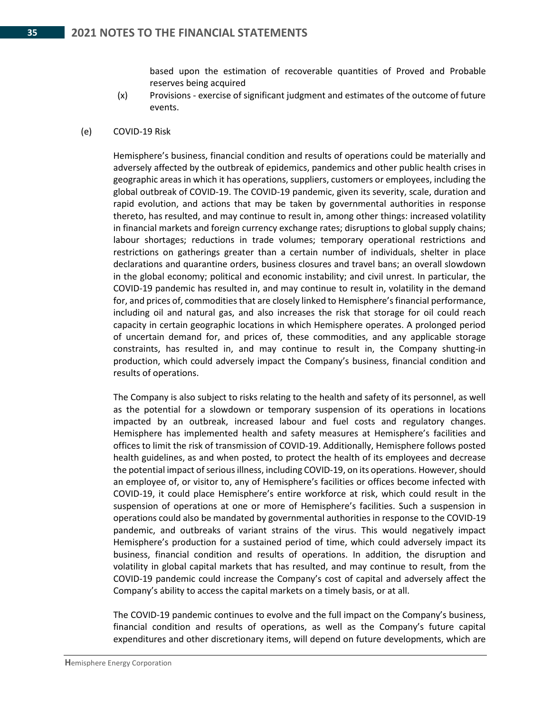based upon the estimation of recoverable quantities of Proved and Probable reserves being acquired

- (x) Provisions exercise of significant judgment and estimates of the outcome of future events.
- (e) COVID-19 Risk

Hemisphere's business, financial condition and results of operations could be materially and adversely affected by the outbreak of epidemics, pandemics and other public health crises in geographic areas in which it has operations, suppliers, customers or employees, including the global outbreak of COVID-19. The COVID-19 pandemic, given its severity, scale, duration and rapid evolution, and actions that may be taken by governmental authorities in response thereto, has resulted, and may continue to result in, among other things: increased volatility in financial markets and foreign currency exchange rates; disruptions to global supply chains; labour shortages; reductions in trade volumes; temporary operational restrictions and restrictions on gatherings greater than a certain number of individuals, shelter in place declarations and quarantine orders, business closures and travel bans; an overall slowdown in the global economy; political and economic instability; and civil unrest. In particular, the COVID-19 pandemic has resulted in, and may continue to result in, volatility in the demand for, and prices of, commodities that are closely linked to Hemisphere's financial performance, including oil and natural gas, and also increases the risk that storage for oil could reach capacity in certain geographic locations in which Hemisphere operates. A prolonged period of uncertain demand for, and prices of, these commodities, and any applicable storage constraints, has resulted in, and may continue to result in, the Company shutting-in production, which could adversely impact the Company's business, financial condition and results of operations.

The Company is also subject to risks relating to the health and safety of its personnel, as well as the potential for a slowdown or temporary suspension of its operations in locations impacted by an outbreak, increased labour and fuel costs and regulatory changes. Hemisphere has implemented health and safety measures at Hemisphere's facilities and offices to limit the risk of transmission of COVID-19. Additionally, Hemisphere follows posted health guidelines, as and when posted, to protect the health of its employees and decrease the potential impact of serious illness, including COVID-19, on its operations. However, should an employee of, or visitor to, any of Hemisphere's facilities or offices become infected with COVID-19, it could place Hemisphere's entire workforce at risk, which could result in the suspension of operations at one or more of Hemisphere's facilities. Such a suspension in operations could also be mandated by governmental authorities in response to the COVID-19 pandemic, and outbreaks of variant strains of the virus. This would negatively impact Hemisphere's production for a sustained period of time, which could adversely impact its business, financial condition and results of operations. In addition, the disruption and volatility in global capital markets that has resulted, and may continue to result, from the COVID-19 pandemic could increase the Company's cost of capital and adversely affect the Company's ability to access the capital markets on a timely basis, or at all.

The COVID-19 pandemic continues to evolve and the full impact on the Company's business, financial condition and results of operations, as well as the Company's future capital expenditures and other discretionary items, will depend on future developments, which are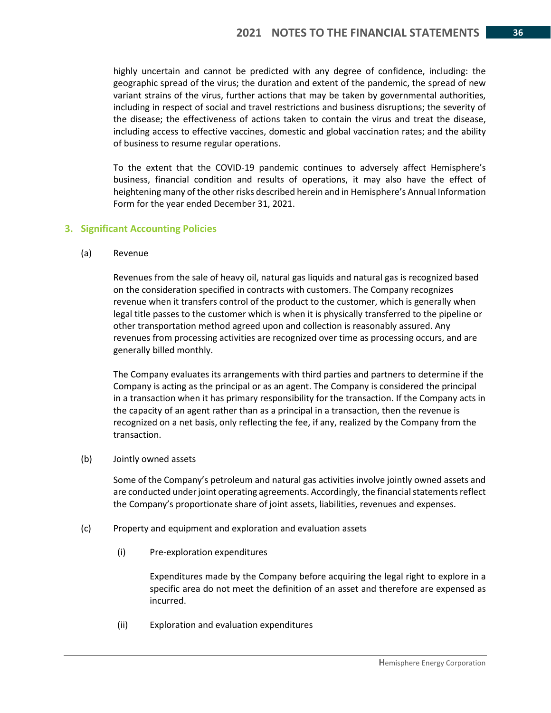highly uncertain and cannot be predicted with any degree of confidence, including: the geographic spread of the virus; the duration and extent of the pandemic, the spread of new variant strains of the virus, further actions that may be taken by governmental authorities, including in respect of social and travel restrictions and business disruptions; the severity of the disease; the effectiveness of actions taken to contain the virus and treat the disease, including access to effective vaccines, domestic and global vaccination rates; and the ability of business to resume regular operations.

To the extent that the COVID-19 pandemic continues to adversely affect Hemisphere's business, financial condition and results of operations, it may also have the effect of heightening many of the other risks described herein and in Hemisphere's Annual Information Form for the year ended December 31, 2021.

#### **3. Significant Accounting Policies**

(a) Revenue

Revenues from the sale of heavy oil, natural gas liquids and natural gas is recognized based on the consideration specified in contracts with customers. The Company recognizes revenue when it transfers control of the product to the customer, which is generally when legal title passes to the customer which is when it is physically transferred to the pipeline or other transportation method agreed upon and collection is reasonably assured. Any revenues from processing activities are recognized over time as processing occurs, and are generally billed monthly.

The Company evaluates its arrangements with third parties and partners to determine if the Company is acting as the principal or as an agent. The Company is considered the principal in a transaction when it has primary responsibility for the transaction. If the Company acts in the capacity of an agent rather than as a principal in a transaction, then the revenue is recognized on a net basis, only reflecting the fee, if any, realized by the Company from the transaction.

(b) Jointly owned assets

Some of the Company's petroleum and natural gas activities involve jointly owned assets and are conducted under joint operating agreements. Accordingly, the financial statements reflect the Company's proportionate share of joint assets, liabilities, revenues and expenses.

- (c) Property and equipment and exploration and evaluation assets
	- (i) Pre-exploration expenditures

Expenditures made by the Company before acquiring the legal right to explore in a specific area do not meet the definition of an asset and therefore are expensed as incurred.

(ii) Exploration and evaluation expenditures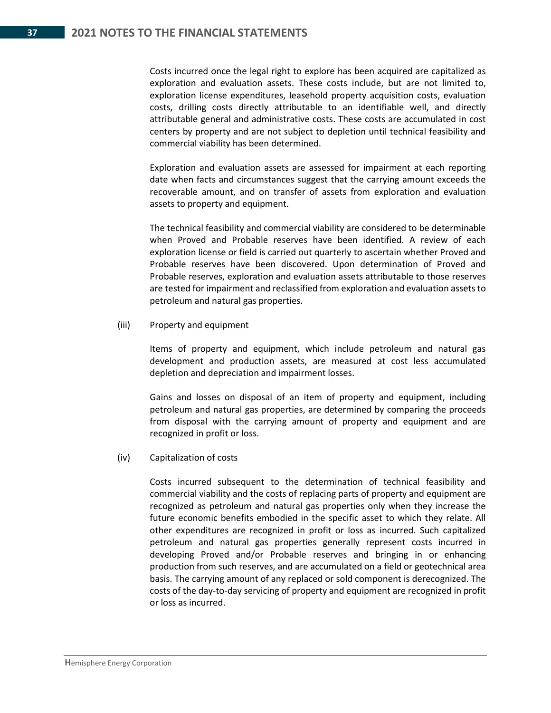Costs incurred once the legal right to explore has been acquired are capitalized as exploration and evaluation assets. These costs include, but are not limited to, exploration license expenditures, leasehold property acquisition costs, evaluation costs, drilling costs directly attributable to an identifiable well, and directly attributable general and administrative costs. These costs are accumulated in cost centers by property and are not subject to depletion until technical feasibility and commercial viability has been determined.

Exploration and evaluation assets are assessed for impairment at each reporting date when facts and circumstances suggest that the carrying amount exceeds the recoverable amount, and on transfer of assets from exploration and evaluation assets to property and equipment.

The technical feasibility and commercial viability are considered to be determinable when Proved and Probable reserves have been identified. A review of each exploration license or field is carried out quarterly to ascertain whether Proved and Probable reserves have been discovered. Upon determination of Proved and Probable reserves, exploration and evaluation assets attributable to those reserves are tested for impairment and reclassified from exploration and evaluation assets to petroleum and natural gas properties.

#### (iii) Property and equipment

Items of property and equipment, which include petroleum and natural gas development and production assets, are measured at cost less accumulated depletion and depreciation and impairment losses.

Gains and losses on disposal of an item of property and equipment, including petroleum and natural gas properties, are determined by comparing the proceeds from disposal with the carrying amount of property and equipment and are recognized in profit or loss.

#### (iv) Capitalization of costs

Costs incurred subsequent to the determination of technical feasibility and commercial viability and the costs of replacing parts of property and equipment are recognized as petroleum and natural gas properties only when they increase the future economic benefits embodied in the specific asset to which they relate. All other expenditures are recognized in profit or loss as incurred. Such capitalized petroleum and natural gas properties generally represent costs incurred in developing Proved and/or Probable reserves and bringing in or enhancing production from such reserves, and are accumulated on a field or geotechnical area basis. The carrying amount of any replaced or sold component is derecognized. The costs of the day-to-day servicing of property and equipment are recognized in profit or loss as incurred.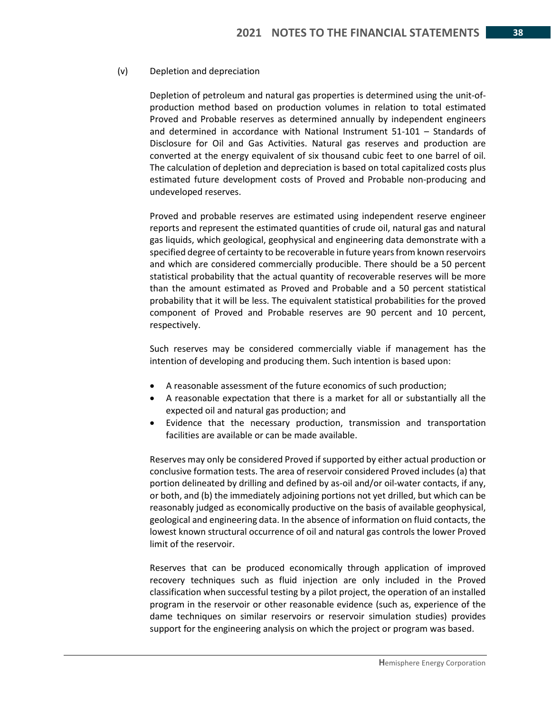#### (v) Depletion and depreciation

Depletion of petroleum and natural gas properties is determined using the unit-ofproduction method based on production volumes in relation to total estimated Proved and Probable reserves as determined annually by independent engineers and determined in accordance with National Instrument 51-101 – Standards of Disclosure for Oil and Gas Activities. Natural gas reserves and production are converted at the energy equivalent of six thousand cubic feet to one barrel of oil. The calculation of depletion and depreciation is based on total capitalized costs plus estimated future development costs of Proved and Probable non-producing and undeveloped reserves.

Proved and probable reserves are estimated using independent reserve engineer reports and represent the estimated quantities of crude oil, natural gas and natural gas liquids, which geological, geophysical and engineering data demonstrate with a specified degree of certainty to be recoverable in future years from known reservoirs and which are considered commercially producible. There should be a 50 percent statistical probability that the actual quantity of recoverable reserves will be more than the amount estimated as Proved and Probable and a 50 percent statistical probability that it will be less. The equivalent statistical probabilities for the proved component of Proved and Probable reserves are 90 percent and 10 percent, respectively.

Such reserves may be considered commercially viable if management has the intention of developing and producing them. Such intention is based upon:

- A reasonable assessment of the future economics of such production;
- A reasonable expectation that there is a market for all or substantially all the expected oil and natural gas production; and
- Evidence that the necessary production, transmission and transportation facilities are available or can be made available.

Reserves may only be considered Proved if supported by either actual production or conclusive formation tests. The area of reservoir considered Proved includes (a) that portion delineated by drilling and defined by as-oil and/or oil-water contacts, if any, or both, and (b) the immediately adjoining portions not yet drilled, but which can be reasonably judged as economically productive on the basis of available geophysical, geological and engineering data. In the absence of information on fluid contacts, the lowest known structural occurrence of oil and natural gas controls the lower Proved limit of the reservoir.

Reserves that can be produced economically through application of improved recovery techniques such as fluid injection are only included in the Proved classification when successful testing by a pilot project, the operation of an installed program in the reservoir or other reasonable evidence (such as, experience of the dame techniques on similar reservoirs or reservoir simulation studies) provides support for the engineering analysis on which the project or program was based.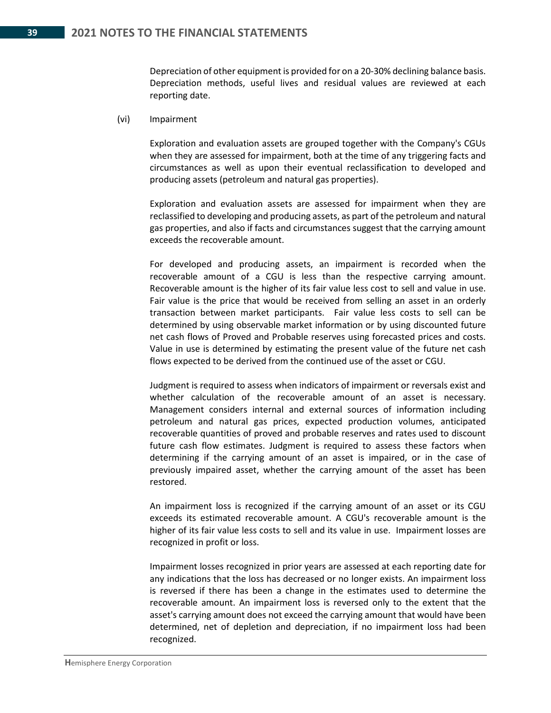Depreciation of other equipment is provided for on a 20-30% declining balance basis. Depreciation methods, useful lives and residual values are reviewed at each reporting date.

(vi) Impairment

Exploration and evaluation assets are grouped together with the Company's CGUs when they are assessed for impairment, both at the time of any triggering facts and circumstances as well as upon their eventual reclassification to developed and producing assets (petroleum and natural gas properties).

Exploration and evaluation assets are assessed for impairment when they are reclassified to developing and producing assets, as part of the petroleum and natural gas properties, and also if facts and circumstances suggest that the carrying amount exceeds the recoverable amount.

For developed and producing assets, an impairment is recorded when the recoverable amount of a CGU is less than the respective carrying amount. Recoverable amount is the higher of its fair value less cost to sell and value in use. Fair value is the price that would be received from selling an asset in an orderly transaction between market participants. Fair value less costs to sell can be determined by using observable market information or by using discounted future net cash flows of Proved and Probable reserves using forecasted prices and costs. Value in use is determined by estimating the present value of the future net cash flows expected to be derived from the continued use of the asset or CGU.

Judgment is required to assess when indicators of impairment or reversals exist and whether calculation of the recoverable amount of an asset is necessary. Management considers internal and external sources of information including petroleum and natural gas prices, expected production volumes, anticipated recoverable quantities of proved and probable reserves and rates used to discount future cash flow estimates. Judgment is required to assess these factors when determining if the carrying amount of an asset is impaired, or in the case of previously impaired asset, whether the carrying amount of the asset has been restored.

An impairment loss is recognized if the carrying amount of an asset or its CGU exceeds its estimated recoverable amount. A CGU's recoverable amount is the higher of its fair value less costs to sell and its value in use. Impairment losses are recognized in profit or loss.

Impairment losses recognized in prior years are assessed at each reporting date for any indications that the loss has decreased or no longer exists. An impairment loss is reversed if there has been a change in the estimates used to determine the recoverable amount. An impairment loss is reversed only to the extent that the asset's carrying amount does not exceed the carrying amount that would have been determined, net of depletion and depreciation, if no impairment loss had been recognized.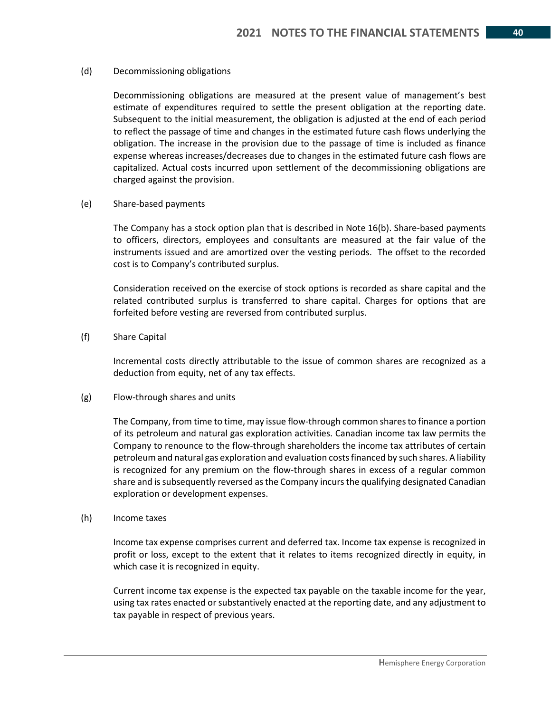#### (d) Decommissioning obligations

Decommissioning obligations are measured at the present value of management's best estimate of expenditures required to settle the present obligation at the reporting date. Subsequent to the initial measurement, the obligation is adjusted at the end of each period to reflect the passage of time and changes in the estimated future cash flows underlying the obligation. The increase in the provision due to the passage of time is included as finance expense whereas increases/decreases due to changes in the estimated future cash flows are capitalized. Actual costs incurred upon settlement of the decommissioning obligations are charged against the provision.

(e) Share-based payments

The Company has a stock option plan that is described in Note 16(b). Share-based payments to officers, directors, employees and consultants are measured at the fair value of the instruments issued and are amortized over the vesting periods. The offset to the recorded cost is to Company's contributed surplus.

Consideration received on the exercise of stock options is recorded as share capital and the related contributed surplus is transferred to share capital. Charges for options that are forfeited before vesting are reversed from contributed surplus.

#### (f) Share Capital

Incremental costs directly attributable to the issue of common shares are recognized as a deduction from equity, net of any tax effects.

#### (g) Flow-through shares and units

The Company, from time to time, may issue flow-through common shares to finance a portion of its petroleum and natural gas exploration activities. Canadian income tax law permits the Company to renounce to the flow-through shareholders the income tax attributes of certain petroleum and natural gas exploration and evaluation costs financed by such shares. A liability is recognized for any premium on the flow-through shares in excess of a regular common share and is subsequently reversed as the Company incurs the qualifying designated Canadian exploration or development expenses.

#### (h) Income taxes

Income tax expense comprises current and deferred tax. Income tax expense is recognized in profit or loss, except to the extent that it relates to items recognized directly in equity, in which case it is recognized in equity.

Current income tax expense is the expected tax payable on the taxable income for the year, using tax rates enacted or substantively enacted at the reporting date, and any adjustment to tax payable in respect of previous years.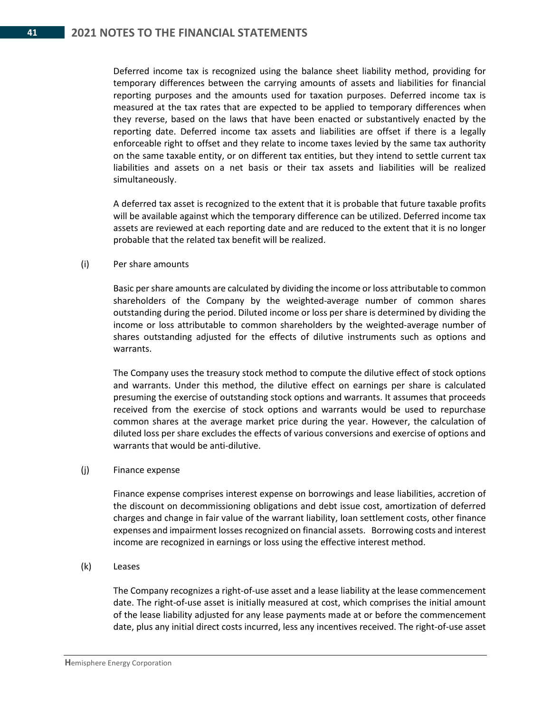Deferred income tax is recognized using the balance sheet liability method, providing for temporary differences between the carrying amounts of assets and liabilities for financial reporting purposes and the amounts used for taxation purposes. Deferred income tax is measured at the tax rates that are expected to be applied to temporary differences when they reverse, based on the laws that have been enacted or substantively enacted by the reporting date. Deferred income tax assets and liabilities are offset if there is a legally enforceable right to offset and they relate to income taxes levied by the same tax authority on the same taxable entity, or on different tax entities, but they intend to settle current tax liabilities and assets on a net basis or their tax assets and liabilities will be realized simultaneously.

A deferred tax asset is recognized to the extent that it is probable that future taxable profits will be available against which the temporary difference can be utilized. Deferred income tax assets are reviewed at each reporting date and are reduced to the extent that it is no longer probable that the related tax benefit will be realized.

#### (i) Per share amounts

Basic per share amounts are calculated by dividing the income or loss attributable to common shareholders of the Company by the weighted-average number of common shares outstanding during the period. Diluted income or loss per share is determined by dividing the income or loss attributable to common shareholders by the weighted-average number of shares outstanding adjusted for the effects of dilutive instruments such as options and warrants.

The Company uses the treasury stock method to compute the dilutive effect of stock options and warrants. Under this method, the dilutive effect on earnings per share is calculated presuming the exercise of outstanding stock options and warrants. It assumes that proceeds received from the exercise of stock options and warrants would be used to repurchase common shares at the average market price during the year. However, the calculation of diluted loss per share excludes the effects of various conversions and exercise of options and warrants that would be anti-dilutive.

#### (j) Finance expense

Finance expense comprises interest expense on borrowings and lease liabilities, accretion of the discount on decommissioning obligations and debt issue cost, amortization of deferred charges and change in fair value of the warrant liability, loan settlement costs, other finance expenses and impairment losses recognized on financial assets. Borrowing costs and interest income are recognized in earnings or loss using the effective interest method.

#### (k) Leases

The Company recognizes a right-of-use asset and a lease liability at the lease commencement date. The right-of-use asset is initially measured at cost, which comprises the initial amount of the lease liability adjusted for any lease payments made at or before the commencement date, plus any initial direct costs incurred, less any incentives received. The right-of-use asset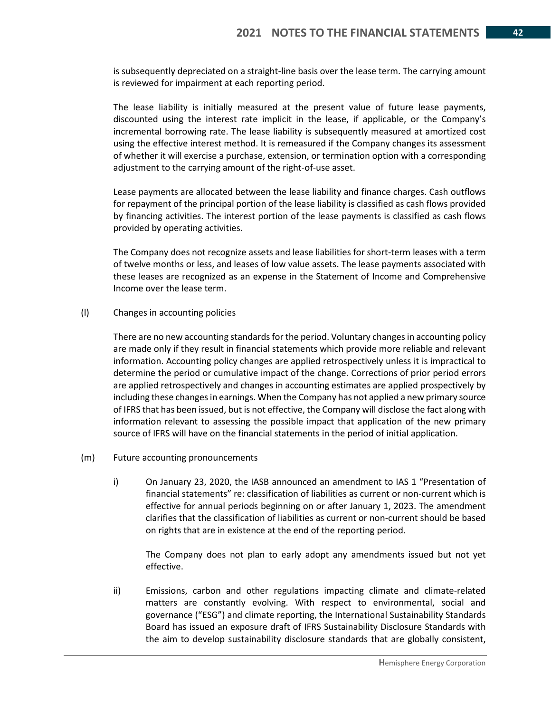is subsequently depreciated on a straight-line basis over the lease term. The carrying amount is reviewed for impairment at each reporting period.

The lease liability is initially measured at the present value of future lease payments, discounted using the interest rate implicit in the lease, if applicable, or the Company's incremental borrowing rate. The lease liability is subsequently measured at amortized cost using the effective interest method. It is remeasured if the Company changes its assessment of whether it will exercise a purchase, extension, or termination option with a corresponding adjustment to the carrying amount of the right-of-use asset.

Lease payments are allocated between the lease liability and finance charges. Cash outflows for repayment of the principal portion of the lease liability is classified as cash flows provided by financing activities. The interest portion of the lease payments is classified as cash flows provided by operating activities.

The Company does not recognize assets and lease liabilities for short-term leases with a term of twelve months or less, and leases of low value assets. The lease payments associated with these leases are recognized as an expense in the Statement of Income and Comprehensive Income over the lease term.

(l) Changes in accounting policies

There are no new accounting standards for the period. Voluntary changes in accounting policy are made only if they result in financial statements which provide more reliable and relevant information. Accounting policy changes are applied retrospectively unless it is impractical to determine the period or cumulative impact of the change. Corrections of prior period errors are applied retrospectively and changes in accounting estimates are applied prospectively by including these changes in earnings. When the Company has not applied a new primary source of IFRS that has been issued, but is not effective, the Company will disclose the fact along with information relevant to assessing the possible impact that application of the new primary source of IFRS will have on the financial statements in the period of initial application.

- (m) Future accounting pronouncements
	- i) On January 23, 2020, the IASB announced an amendment to IAS 1 "Presentation of financial statements" re: classification of liabilities as current or non-current which is effective for annual periods beginning on or after January 1, 2023. The amendment clarifies that the classification of liabilities as current or non-current should be based on rights that are in existence at the end of the reporting period.

The Company does not plan to early adopt any amendments issued but not yet effective.

ii) Emissions, carbon and other regulations impacting climate and climate-related matters are constantly evolving. With respect to environmental, social and governance ("ESG") and climate reporting, the International Sustainability Standards Board has issued an exposure draft of IFRS Sustainability Disclosure Standards with the aim to develop sustainability disclosure standards that are globally consistent,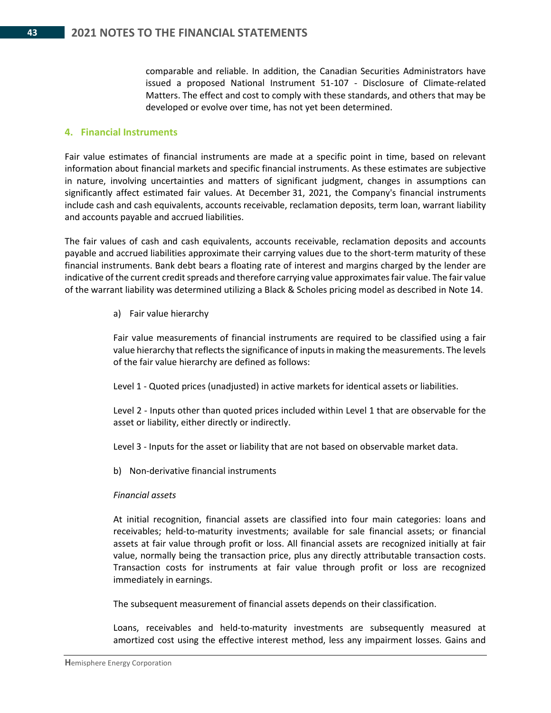comparable and reliable. In addition, the Canadian Securities Administrators have issued a proposed National Instrument 51-107 - Disclosure of Climate-related Matters. The effect and cost to comply with these standards, and others that may be developed or evolve over time, has not yet been determined.

#### **4. Financial Instruments**

Fair value estimates of financial instruments are made at a specific point in time, based on relevant information about financial markets and specific financial instruments. As these estimates are subjective in nature, involving uncertainties and matters of significant judgment, changes in assumptions can significantly affect estimated fair values. At December 31, 2021, the Company's financial instruments include cash and cash equivalents, accounts receivable, reclamation deposits, term loan, warrant liability and accounts payable and accrued liabilities.

The fair values of cash and cash equivalents, accounts receivable, reclamation deposits and accounts payable and accrued liabilities approximate their carrying values due to the short-term maturity of these financial instruments. Bank debt bears a floating rate of interest and margins charged by the lender are indicative of the current credit spreads and therefore carrying value approximates fair value. The fair value of the warrant liability was determined utilizing a Black & Scholes pricing model as described in Note 14.

a) Fair value hierarchy

Fair value measurements of financial instruments are required to be classified using a fair value hierarchy that reflects the significance of inputs in making the measurements. The levels of the fair value hierarchy are defined as follows:

Level 1 - Quoted prices (unadjusted) in active markets for identical assets or liabilities.

Level 2 - Inputs other than quoted prices included within Level 1 that are observable for the asset or liability, either directly or indirectly.

Level 3 - Inputs for the asset or liability that are not based on observable market data.

b) Non-derivative financial instruments

#### *Financial assets*

At initial recognition, financial assets are classified into four main categories: loans and receivables; held-to-maturity investments; available for sale financial assets; or financial assets at fair value through profit or loss. All financial assets are recognized initially at fair value, normally being the transaction price, plus any directly attributable transaction costs. Transaction costs for instruments at fair value through profit or loss are recognized immediately in earnings.

The subsequent measurement of financial assets depends on their classification.

Loans, receivables and held-to-maturity investments are subsequently measured at amortized cost using the effective interest method, less any impairment losses. Gains and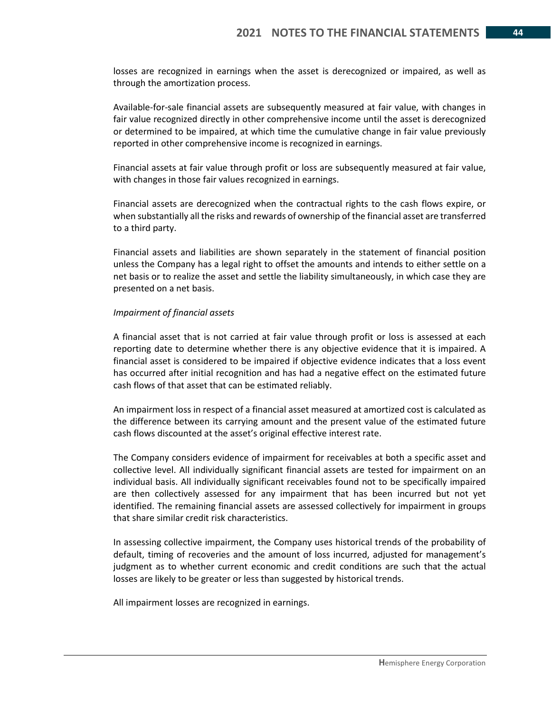losses are recognized in earnings when the asset is derecognized or impaired, as well as through the amortization process.

Available-for-sale financial assets are subsequently measured at fair value, with changes in fair value recognized directly in other comprehensive income until the asset is derecognized or determined to be impaired, at which time the cumulative change in fair value previously reported in other comprehensive income is recognized in earnings.

Financial assets at fair value through profit or loss are subsequently measured at fair value, with changes in those fair values recognized in earnings.

Financial assets are derecognized when the contractual rights to the cash flows expire, or when substantially all the risks and rewards of ownership of the financial asset are transferred to a third party.

Financial assets and liabilities are shown separately in the statement of financial position unless the Company has a legal right to offset the amounts and intends to either settle on a net basis or to realize the asset and settle the liability simultaneously, in which case they are presented on a net basis.

#### *Impairment of financial assets*

A financial asset that is not carried at fair value through profit or loss is assessed at each reporting date to determine whether there is any objective evidence that it is impaired. A financial asset is considered to be impaired if objective evidence indicates that a loss event has occurred after initial recognition and has had a negative effect on the estimated future cash flows of that asset that can be estimated reliably.

An impairment loss in respect of a financial asset measured at amortized cost is calculated as the difference between its carrying amount and the present value of the estimated future cash flows discounted at the asset's original effective interest rate.

The Company considers evidence of impairment for receivables at both a specific asset and collective level. All individually significant financial assets are tested for impairment on an individual basis. All individually significant receivables found not to be specifically impaired are then collectively assessed for any impairment that has been incurred but not yet identified. The remaining financial assets are assessed collectively for impairment in groups that share similar credit risk characteristics.

In assessing collective impairment, the Company uses historical trends of the probability of default, timing of recoveries and the amount of loss incurred, adjusted for management's judgment as to whether current economic and credit conditions are such that the actual losses are likely to be greater or less than suggested by historical trends.

All impairment losses are recognized in earnings.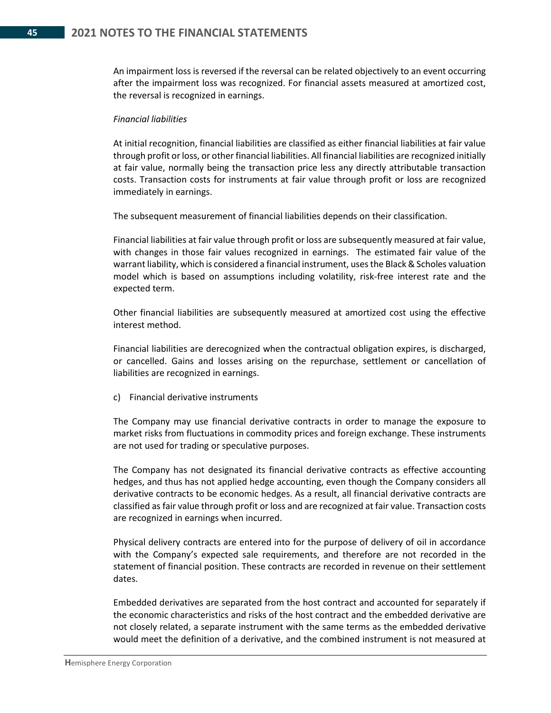An impairment loss is reversed if the reversal can be related objectively to an event occurring after the impairment loss was recognized. For financial assets measured at amortized cost, the reversal is recognized in earnings.

#### *Financial liabilities*

At initial recognition, financial liabilities are classified as either financial liabilities at fair value through profit or loss, or other financial liabilities. All financial liabilities are recognized initially at fair value, normally being the transaction price less any directly attributable transaction costs. Transaction costs for instruments at fair value through profit or loss are recognized immediately in earnings.

The subsequent measurement of financial liabilities depends on their classification.

Financial liabilities at fair value through profit or loss are subsequently measured at fair value, with changes in those fair values recognized in earnings. The estimated fair value of the warrant liability, which is considered a financial instrument, uses the Black & Scholes valuation model which is based on assumptions including volatility, risk-free interest rate and the expected term.

Other financial liabilities are subsequently measured at amortized cost using the effective interest method.

Financial liabilities are derecognized when the contractual obligation expires, is discharged, or cancelled. Gains and losses arising on the repurchase, settlement or cancellation of liabilities are recognized in earnings.

c) Financial derivative instruments

The Company may use financial derivative contracts in order to manage the exposure to market risks from fluctuations in commodity prices and foreign exchange. These instruments are not used for trading or speculative purposes.

The Company has not designated its financial derivative contracts as effective accounting hedges, and thus has not applied hedge accounting, even though the Company considers all derivative contracts to be economic hedges. As a result, all financial derivative contracts are classified as fair value through profit or loss and are recognized at fair value. Transaction costs are recognized in earnings when incurred.

Physical delivery contracts are entered into for the purpose of delivery of oil in accordance with the Company's expected sale requirements, and therefore are not recorded in the statement of financial position. These contracts are recorded in revenue on their settlement dates.

Embedded derivatives are separated from the host contract and accounted for separately if the economic characteristics and risks of the host contract and the embedded derivative are not closely related, a separate instrument with the same terms as the embedded derivative would meet the definition of a derivative, and the combined instrument is not measured at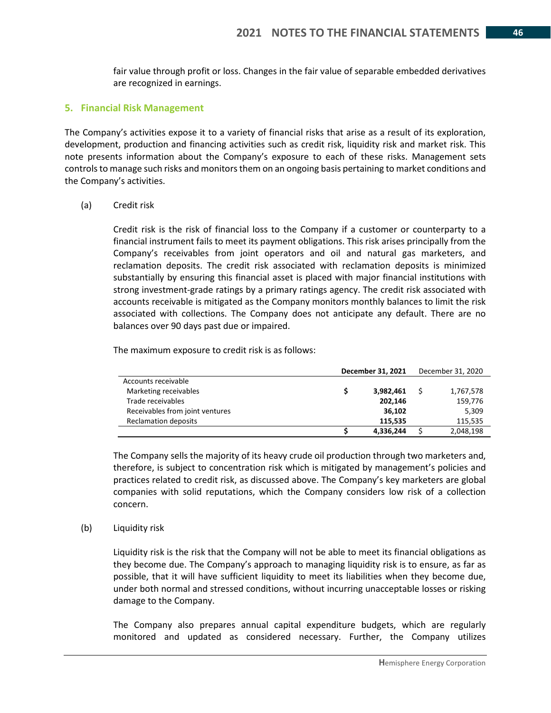fair value through profit or loss. Changes in the fair value of separable embedded derivatives are recognized in earnings.

#### **5. Financial Risk Management**

The Company's activities expose it to a variety of financial risks that arise as a result of its exploration, development, production and financing activities such as credit risk, liquidity risk and market risk. This note presents information about the Company's exposure to each of these risks. Management sets controls to manage such risks and monitors them on an ongoing basis pertaining to market conditions and the Company's activities.

#### (a) Credit risk

Credit risk is the risk of financial loss to the Company if a customer or counterparty to a financial instrument fails to meet its payment obligations. This risk arises principally from the Company's receivables from joint operators and oil and natural gas marketers, and reclamation deposits. The credit risk associated with reclamation deposits is minimized substantially by ensuring this financial asset is placed with major financial institutions with strong investment-grade ratings by a primary ratings agency. The credit risk associated with accounts receivable is mitigated as the Company monitors monthly balances to limit the risk associated with collections. The Company does not anticipate any default. There are no balances over 90 days past due or impaired.

The maximum exposure to credit risk is as follows:

|                                 |    | December 31, 2021 | December 31, 2020 |
|---------------------------------|----|-------------------|-------------------|
| Accounts receivable             |    |                   |                   |
| Marketing receivables           | s. | 3,982,461         | 1,767,578         |
| Trade receivables               |    | 202,146           | 159,776           |
| Receivables from joint ventures |    | 36,102            | 5,309             |
| <b>Reclamation deposits</b>     |    | 115.535           | 115.535           |
|                                 |    | 4,336,244         | 2,048,198         |

The Company sells the majority of its heavy crude oil production through two marketers and, therefore, is subject to concentration risk which is mitigated by management's policies and practices related to credit risk, as discussed above. The Company's key marketers are global companies with solid reputations, which the Company considers low risk of a collection concern.

#### (b) Liquidity risk

Liquidity risk is the risk that the Company will not be able to meet its financial obligations as they become due. The Company's approach to managing liquidity risk is to ensure, as far as possible, that it will have sufficient liquidity to meet its liabilities when they become due, under both normal and stressed conditions, without incurring unacceptable losses or risking damage to the Company.

The Company also prepares annual capital expenditure budgets, which are regularly monitored and updated as considered necessary. Further, the Company utilizes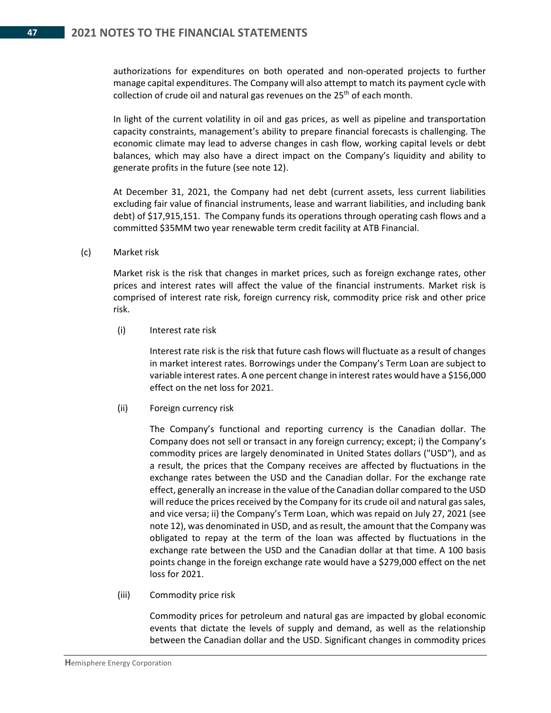authorizations for expenditures on both operated and non-operated projects to further manage capital expenditures. The Company will also attempt to match its payment cycle with collection of crude oil and natural gas revenues on the  $25<sup>th</sup>$  of each month.

In light of the current volatility in oil and gas prices, as well as pipeline and transportation capacity constraints, management's ability to prepare financial forecasts is challenging. The economic climate may lead to adverse changes in cash flow, working capital levels or debt balances, which may also have a direct impact on the Company's liquidity and ability to generate profits in the future (see note 12).

At December 31, 2021, the Company had net debt (current assets, less current liabilities excluding fair value of financial instruments, lease and warrant liabilities, and including bank debt) of \$17,915,151. The Company funds its operations through operating cash flows and a committed \$35MM two year renewable term credit facility at ATB Financial.

#### (c) Market risk

Market risk is the risk that changes in market prices, such as foreign exchange rates, other prices and interest rates will affect the value of the financial instruments. Market risk is comprised of interest rate risk, foreign currency risk, commodity price risk and other price risk.

(i) Interest rate risk

Interest rate risk is the risk that future cash flows will fluctuate as a result of changes in market interest rates. Borrowings under the Company's Term Loan are subject to variable interest rates. A one percent change in interest rates would have a \$156,000 effect on the net loss for 2021.

#### (ii) Foreign currency risk

The Company's functional and reporting currency is the Canadian dollar. The Company does not sell or transact in any foreign currency; except; i) the Company's commodity prices are largely denominated in United States dollars ("USD"), and as a result, the prices that the Company receives are affected by fluctuations in the exchange rates between the USD and the Canadian dollar. For the exchange rate effect, generally an increase in the value of the Canadian dollar compared to the USD will reduce the prices received by the Company for its crude oil and natural gas sales, and vice versa; ii) the Company's Term Loan, which was repaid on July 27, 2021 (see note 12), was denominated in USD, and as result, the amount that the Company was obligated to repay at the term of the loan was affected by fluctuations in the exchange rate between the USD and the Canadian dollar at that time. A 100 basis points change in the foreign exchange rate would have a \$279,000 effect on the net loss for 2021.

(iii) Commodity price risk

Commodity prices for petroleum and natural gas are impacted by global economic events that dictate the levels of supply and demand, as well as the relationship between the Canadian dollar and the USD. Significant changes in commodity prices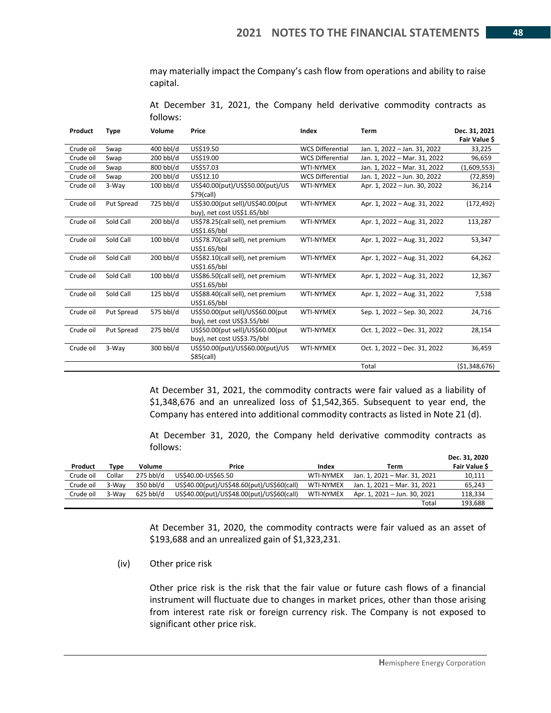may materially impact the Company's cash flow from operations and ability to raise capital.

At December 31, 2021, the Company held derivative commodity contracts as follows:

| Product   | <b>Type</b> | Volume      | Price                                                                | Index                   | <b>Term</b>                  | Dec. 31, 2021<br>Fair Value \$ |
|-----------|-------------|-------------|----------------------------------------------------------------------|-------------------------|------------------------------|--------------------------------|
| Crude oil | Swap        | 400 bbl/d   | US\$19.50                                                            | <b>WCS Differential</b> | Jan. 1, 2022 - Jan. 31, 2022 | 33,225                         |
| Crude oil | Swap        | 200 bbl/d   | US\$19.00                                                            | <b>WCS Differential</b> | Jan. 1, 2022 - Mar. 31, 2022 | 96,659                         |
| Crude oil | Swap        | 800 bbl/d   | US\$57.03                                                            | <b>WTI-NYMEX</b>        | Jan. 1, 2022 - Mar. 31, 2022 | (1,609,553)                    |
| Crude oil | Swap        | 200 bbl/d   | US\$12.10                                                            | <b>WCS Differential</b> | Jan. 1, 2022 - Jun. 30, 2022 | (72, 859)                      |
| Crude oil | 3-Way       | $100$ bbl/d | US\$40.00(put)/US\$50.00(put)/US<br><b>WTI-NYMEX</b><br>$$79$ (call) |                         | Apr. 1, 2022 - Jun. 30, 2022 | 36,214                         |
| Crude oil | Put Spread  | 725 bbl/d   | US\$30.00(put sell)/US\$40.00(put<br>buy), net cost US\$1.65/bbl     | <b>WTI-NYMEX</b>        | Apr. 1, 2022 - Aug. 31, 2022 | (172, 492)                     |
| Crude oil | Sold Call   | $200$ bbl/d | US\$78.25(call sell), net premium<br>US\$1.65/bbl                    | <b>WTI-NYMEX</b>        | Apr. 1, 2022 - Aug. 31, 2022 | 113,287                        |
| Crude oil | Sold Call   | 100 bbl/d   | US\$78.70(call sell), net premium<br>US\$1.65/bbl                    | <b>WTI-NYMEX</b>        | Apr. 1, 2022 - Aug. 31, 2022 | 53,347                         |
| Crude oil | Sold Call   | 200 bbl/d   | US\$82.10(call sell), net premium<br>US\$1.65/bbl                    | <b>WTI-NYMEX</b>        | Apr. 1, 2022 - Aug. 31, 2022 | 64,262                         |
| Crude oil | Sold Call   | $100$ bbl/d | US\$86.50(call sell), net premium<br>US\$1.65/bbl                    | WTI-NYMEX               | Apr. 1, 2022 - Aug. 31, 2022 | 12,367                         |
| Crude oil | Sold Call   | $125$ bbl/d | US\$88.40(call sell), net premium<br>US\$1.65/bbl                    | <b>WTI-NYMEX</b>        | Apr. 1, 2022 - Aug. 31, 2022 | 7,538                          |
| Crude oil | Put Spread  | 575 bbl/d   | US\$50.00(put sell)/US\$60.00(put<br>buy), net cost US\$3.55/bbl     | <b>WTI-NYMEX</b>        | Sep. 1, 2022 - Sep. 30, 2022 | 24,716                         |
| Crude oil | Put Spread  | 275 bbl/d   | US\$50.00(put sell)/US\$60.00(put<br>buy), net cost US\$3.75/bbl     | <b>WTI-NYMEX</b>        | Oct. 1, 2022 - Dec. 31, 2022 | 28,154                         |
| Crude oil | 3-Way       | 300 bbl/d   | US\$50.00(put)/US\$60.00(put)/US<br>$$85$ (call)                     | <b>WTI-NYMEX</b>        | Oct. 1, 2022 - Dec. 31, 2022 | 36,459                         |
|           |             |             |                                                                      |                         | Total                        | (51,348,676)                   |

At December 31, 2021, the commodity contracts were fair valued as a liability of \$1,348,676 and an unrealized loss of \$1,542,365. Subsequent to year end, the Company has entered into additional commodity contracts as listed in Note 21 (d).

At December 31, 2020, the Company held derivative commodity contracts as follows:

| Product   | Tvpe   | Volume      | Price                                      | Index            | Term                         | Dec. 31, 2020<br>Fair Value \$ |
|-----------|--------|-------------|--------------------------------------------|------------------|------------------------------|--------------------------------|
| Crude oil | Collar | $275$ bbl/d | US\$40.00-US\$65.50                        | <b>WTI-NYMEX</b> | Jan. 1, 2021 - Mar. 31, 2021 | 10,111                         |
|           |        | 350 bbl/d   |                                            |                  |                              |                                |
| Crude oil | 3-Way  |             | US\$40.00(put)/US\$48.60(put)/US\$60(call) | <b>WTI-NYMEX</b> | Jan. 1. 2021 - Mar. 31. 2021 | 65,243                         |
| Crude oil | 3-Wav  | $625$ bbl/d | US\$40.00(put)/US\$48.00(put)/US\$60(call) | <b>WTI-NYMEX</b> | Apr. 1, 2021 - Jun. 30, 2021 | 118.334                        |
|           |        |             |                                            |                  | Total                        | 193.688                        |

At December 31, 2020, the commodity contracts were fair valued as an asset of \$193,688 and an unrealized gain of \$1,323,231.

(iv) Other price risk

Other price risk is the risk that the fair value or future cash flows of a financial instrument will fluctuate due to changes in market prices, other than those arising from interest rate risk or foreign currency risk. The Company is not exposed to significant other price risk.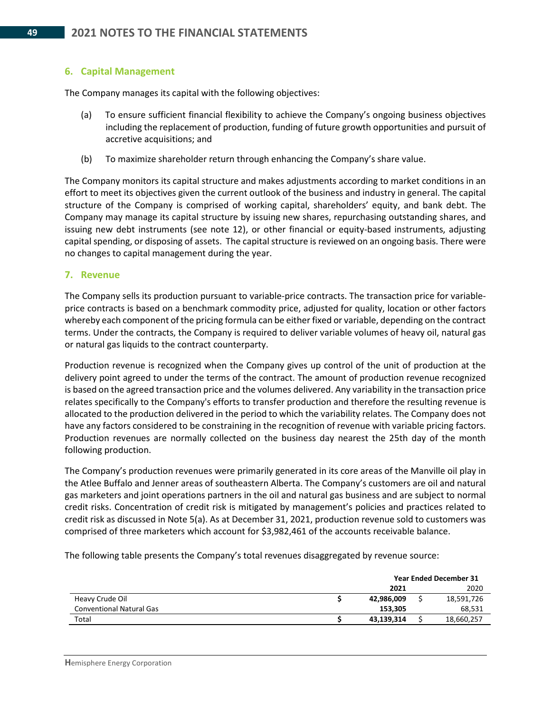### **6. Capital Management**

The Company manages its capital with the following objectives:

- (a) To ensure sufficient financial flexibility to achieve the Company's ongoing business objectives including the replacement of production, funding of future growth opportunities and pursuit of accretive acquisitions; and
- (b) To maximize shareholder return through enhancing the Company's share value.

The Company monitors its capital structure and makes adjustments according to market conditions in an effort to meet its objectives given the current outlook of the business and industry in general. The capital structure of the Company is comprised of working capital, shareholders' equity, and bank debt. The Company may manage its capital structure by issuing new shares, repurchasing outstanding shares, and issuing new debt instruments (see note 12), or other financial or equity-based instruments, adjusting capital spending, or disposing of assets. The capital structure is reviewed on an ongoing basis. There were no changes to capital management during the year.

#### **7. Revenue**

The Company sells its production pursuant to variable-price contracts. The transaction price for variableprice contracts is based on a benchmark commodity price, adjusted for quality, location or other factors whereby each component of the pricing formula can be either fixed or variable, depending on the contract terms. Under the contracts, the Company is required to deliver variable volumes of heavy oil, natural gas or natural gas liquids to the contract counterparty.

Production revenue is recognized when the Company gives up control of the unit of production at the delivery point agreed to under the terms of the contract. The amount of production revenue recognized is based on the agreed transaction price and the volumes delivered. Any variability in the transaction price relates specifically to the Company's efforts to transfer production and therefore the resulting revenue is allocated to the production delivered in the period to which the variability relates. The Company does not have any factors considered to be constraining in the recognition of revenue with variable pricing factors. Production revenues are normally collected on the business day nearest the 25th day of the month following production.

The Company's production revenues were primarily generated in its core areas of the Manville oil play in the Atlee Buffalo and Jenner areas of southeastern Alberta. The Company's customers are oil and natural gas marketers and joint operations partners in the oil and natural gas business and are subject to normal credit risks. Concentration of credit risk is mitigated by management's policies and practices related to credit risk as discussed in Note 5(a). As at December 31, 2021, production revenue sold to customers was comprised of three marketers which account for \$3,982,461 of the accounts receivable balance.

The following table presents the Company's total revenues disaggregated by revenue source:

|                                 |            | <b>Year Ended December 31</b> |
|---------------------------------|------------|-------------------------------|
|                                 | 2021       | 2020                          |
| Heavy Crude Oil                 | 42,986,009 | 18,591,726                    |
| <b>Conventional Natural Gas</b> | 153.305    | 68,531                        |
| Total                           | 43,139,314 | 18,660,257                    |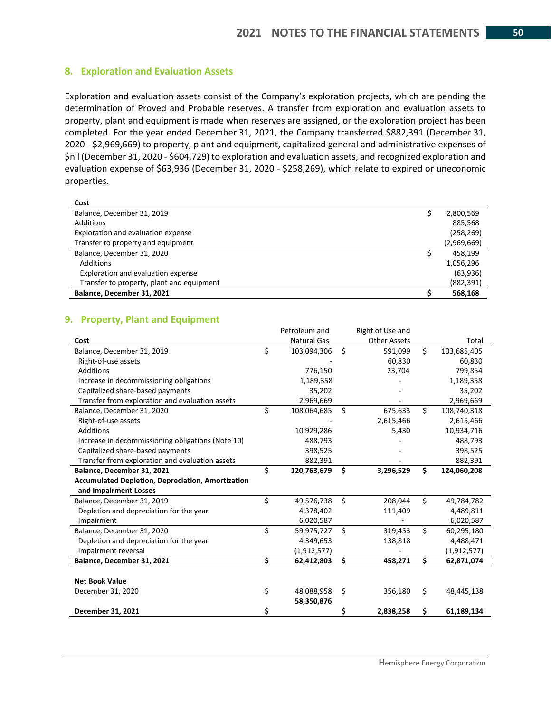#### **8. Exploration and Evaluation Assets**

Exploration and evaluation assets consist of the Company's exploration projects, which are pending the determination of Proved and Probable reserves. A transfer from exploration and evaluation assets to property, plant and equipment is made when reserves are assigned, or the exploration project has been completed. For the year ended December 31, 2021, the Company transferred \$882,391 (December 31, 2020 - \$2,969,669) to property, plant and equipment, capitalized general and administrative expenses of \$nil (December 31, 2020 - \$604,729) to exploration and evaluation assets, and recognized exploration and evaluation expense of \$63,936 (December 31, 2020 - \$258,269), which relate to expired or uneconomic properties.

| Cost                                      |             |
|-------------------------------------------|-------------|
| Balance, December 31, 2019                | 2,800,569   |
| Additions                                 | 885,568     |
| Exploration and evaluation expense        | (258, 269)  |
| Transfer to property and equipment        | (2,969,669) |
| Balance, December 31, 2020                | 458.199     |
| Additions                                 | 1,056,296   |
| Exploration and evaluation expense        | (63, 936)   |
| Transfer to property, plant and equipment | (882, 391)  |
| Balance, December 31, 2021                | 568,168     |

### **9. Property, Plant and Equipment**

|                                                          |    | Petroleum and      |                    | Right of Use and    |    |               |
|----------------------------------------------------------|----|--------------------|--------------------|---------------------|----|---------------|
| Cost                                                     |    | <b>Natural Gas</b> |                    | <b>Other Assets</b> |    | Total         |
| Balance, December 31, 2019                               | \$ | 103,094,306        | $\mathsf{\hat{S}}$ | 591,099             | \$ | 103,685,405   |
| Right-of-use assets                                      |    |                    |                    | 60,830              |    | 60,830        |
| <b>Additions</b>                                         |    | 776,150            |                    | 23,704              |    | 799,854       |
| Increase in decommissioning obligations                  |    | 1,189,358          |                    |                     |    | 1,189,358     |
| Capitalized share-based payments                         |    | 35,202             |                    |                     |    | 35,202        |
| Transfer from exploration and evaluation assets          |    | 2,969,669          |                    |                     |    | 2,969,669     |
| Balance, December 31, 2020                               | \$ | 108,064,685        | Ŝ.                 | 675,633             | Ś. | 108,740,318   |
| Right-of-use assets                                      |    |                    |                    | 2,615,466           |    | 2,615,466     |
| Additions                                                |    | 10,929,286         |                    | 5,430               |    | 10,934,716    |
| Increase in decommissioning obligations (Note 10)        |    | 488,793            |                    |                     |    | 488,793       |
| Capitalized share-based payments                         |    | 398,525            |                    |                     |    | 398,525       |
| Transfer from exploration and evaluation assets          |    | 882,391            |                    |                     |    | 882,391       |
| Balance, December 31, 2021                               | \$ | 120,763,679        | Ś.                 | 3,296,529           | \$ | 124,060,208   |
| <b>Accumulated Depletion, Depreciation, Amortization</b> |    |                    |                    |                     |    |               |
| and Impairment Losses                                    |    |                    |                    |                     |    |               |
| Balance, December 31, 2019                               | \$ | 49,576,738         | Ś.                 | 208,044             | \$ | 49,784,782    |
| Depletion and depreciation for the year                  |    | 4,378,402          |                    | 111,409             |    | 4,489,811     |
| Impairment                                               |    | 6,020,587          |                    |                     |    | 6,020,587     |
| Balance, December 31, 2020                               | \$ | 59,975,727         | Ŝ.                 | 319,453             | \$ | 60,295,180    |
| Depletion and depreciation for the year                  |    | 4,349,653          |                    | 138,818             |    | 4,488,471     |
| Impairment reversal                                      |    | (1, 912, 577)      |                    |                     |    | (1, 912, 577) |
| Balance, December 31, 2021                               | Ś. | 62,412,803         | \$                 | 458,271             | Ś. | 62,871,074    |
|                                                          |    |                    |                    |                     |    |               |
| <b>Net Book Value</b>                                    |    |                    |                    |                     |    |               |
| December 31, 2020                                        | \$ | 48,088,958         | \$                 | 356,180             | \$ | 48,445,138    |
|                                                          |    | 58,350,876         |                    |                     |    |               |
| December 31, 2021                                        | \$ |                    | Ş                  | 2,838,258           | \$ | 61,189,134    |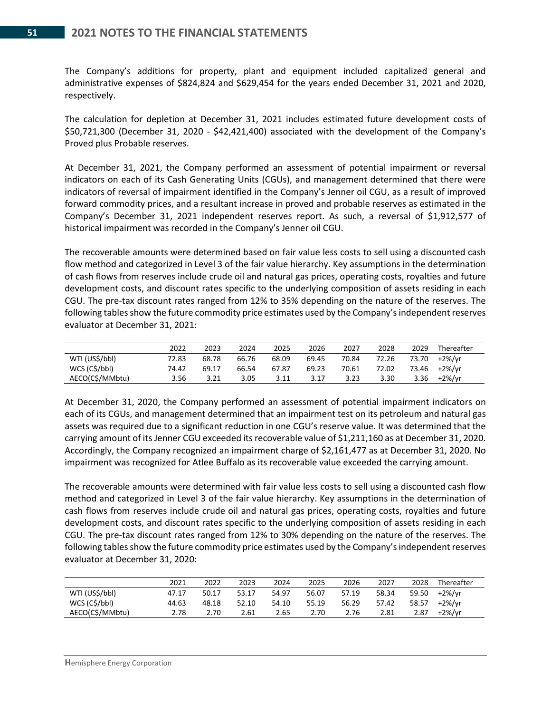The Company's additions for property, plant and equipment included capitalized general and administrative expenses of \$824,824 and \$629,454 for the years ended December 31, 2021 and 2020, respectively.

The calculation for depletion at December 31, 2021 includes estimated future development costs of \$50,721,300 (December 31, 2020 - \$42,421,400) associated with the development of the Company's Proved plus Probable reserves.

At December 31, 2021, the Company performed an assessment of potential impairment or reversal indicators on each of its Cash Generating Units (CGUs), and management determined that there were indicators of reversal of impairment identified in the Company's Jenner oil CGU, as a result of improved forward commodity prices, and a resultant increase in proved and probable reserves as estimated in the Company's December 31, 2021 independent reserves report. As such, a reversal of \$1,912,577 of historical impairment was recorded in the Company's Jenner oil CGU.

The recoverable amounts were determined based on fair value less costs to sell using a discounted cash flow method and categorized in Level 3 of the fair value hierarchy. Key assumptions in the determination of cash flows from reserves include crude oil and natural gas prices, operating costs, royalties and future development costs, and discount rates specific to the underlying composition of assets residing in each CGU. The pre-tax discount rates ranged from 12% to 35% depending on the nature of the reserves. The following tables show the future commodity price estimates used by the Company's independent reserves evaluator at December 31, 2021:

|                 | 2022  | 2023  | 2024  | 2025  | 2026  | 2027  | 2028  | 2029  | Thereafter |
|-----------------|-------|-------|-------|-------|-------|-------|-------|-------|------------|
| WTI (US\$/bbl)  | 72.83 | 68.78 | 66.76 | 68.09 | 69.45 | 70.84 | 72.26 | 73.70 | +2%/yr     |
| WCS (C\$/bbl)   | 74.42 | 69.17 | 66.54 | 67.87 | 69.23 | 70.61 | 72.02 | 73.46 | +2%/vr     |
| AECO(C\$/MMbtu) | 3.56  | 3.21  | 3.05  | 3.11  | 3.17  | 3.23  | 3.30  | 3.36  | +2%/vr     |

At December 31, 2020, the Company performed an assessment of potential impairment indicators on each of its CGUs, and management determined that an impairment test on its petroleum and natural gas assets was required due to a significant reduction in one CGU's reserve value. It was determined that the carrying amount of its Jenner CGU exceeded its recoverable value of \$1,211,160 as at December 31, 2020. Accordingly, the Company recognized an impairment charge of \$2,161,477 as at December 31, 2020. No impairment was recognized for Atlee Buffalo as its recoverable value exceeded the carrying amount.

The recoverable amounts were determined with fair value less costs to sell using a discounted cash flow method and categorized in Level 3 of the fair value hierarchy. Key assumptions in the determination of cash flows from reserves include crude oil and natural gas prices, operating costs, royalties and future development costs, and discount rates specific to the underlying composition of assets residing in each CGU. The pre-tax discount rates ranged from 12% to 30% depending on the nature of the reserves. The following tables show the future commodity price estimates used by the Company's independent reserves evaluator at December 31, 2020:

|                 | 2021  | 2022  | 2023  | 2024  | 2025  | 2026  | 2027  | 2028  | Thereafter |
|-----------------|-------|-------|-------|-------|-------|-------|-------|-------|------------|
| WTI (US\$/bbl)  | 47.17 | 50.17 | 53.17 | 54.97 | 56.07 | 57.19 | 58.34 | 59.50 | +2%/yr     |
| WCS (C\$/bbl)   | 44.63 | 48.18 | 52.10 | 54.10 | 55.19 | 56.29 | 57.42 | 58.57 | +2%/vr     |
| AECO(C\$/MMbtu) | 2.78  | 2.70  | 2.61  | 2.65  | 2.70  | 2.76  | 2.81  | 2.87  | +2%/vr     |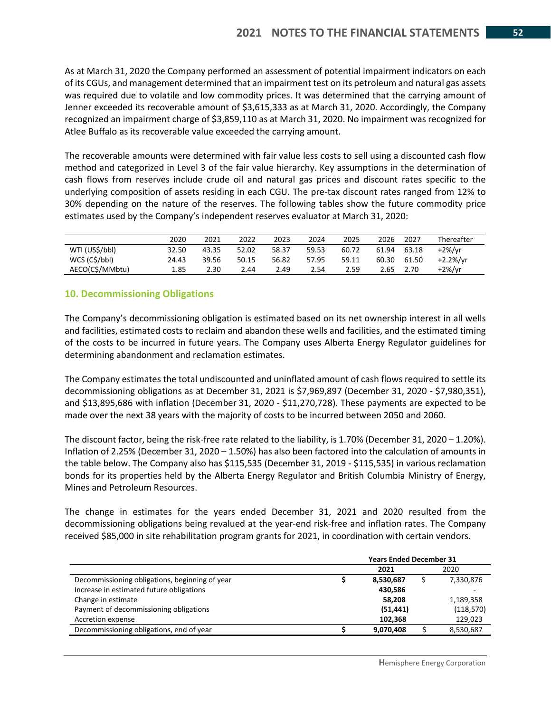As at March 31, 2020 the Company performed an assessment of potential impairment indicators on each of its CGUs, and management determined that an impairment test on its petroleum and natural gas assets was required due to volatile and low commodity prices. It was determined that the carrying amount of Jenner exceeded its recoverable amount of \$3,615,333 as at March 31, 2020. Accordingly, the Company recognized an impairment charge of \$3,859,110 as at March 31, 2020. No impairment was recognized for Atlee Buffalo as its recoverable value exceeded the carrying amount.

The recoverable amounts were determined with fair value less costs to sell using a discounted cash flow method and categorized in Level 3 of the fair value hierarchy. Key assumptions in the determination of cash flows from reserves include crude oil and natural gas prices and discount rates specific to the underlying composition of assets residing in each CGU. The pre-tax discount rates ranged from 12% to 30% depending on the nature of the reserves. The following tables show the future commodity price estimates used by the Company's independent reserves evaluator at March 31, 2020:

|                 | 2020  | 2021  | 2022  | 2023  | 2024  | 2025  | 2026  | 2027  | Thereafter |
|-----------------|-------|-------|-------|-------|-------|-------|-------|-------|------------|
| WTI (US\$/bbl)  | 32.50 | 43.35 | 52.02 | 58.37 | 59.53 | 60.72 | 61.94 | 63.18 | $+2\%/vr$  |
| WCS (C\$/bbl)   | 24.43 | 39.56 | 50.15 | 56.82 | 57.95 | 59.11 | 60.30 | 61.50 | $+2.2%/vr$ |
| AECO(C\$/MMbtu) | 1.85  | 2.30  | 2.44  | 2.49  | 2.54  | 2.59  | 2.65  | 2.70  | $+2\%/yr$  |

## **10. Decommissioning Obligations**

The Company's decommissioning obligation is estimated based on its net ownership interest in all wells and facilities, estimated costs to reclaim and abandon these wells and facilities, and the estimated timing of the costs to be incurred in future years. The Company uses Alberta Energy Regulator guidelines for determining abandonment and reclamation estimates.

The Company estimates the total undiscounted and uninflated amount of cash flows required to settle its decommissioning obligations as at December 31, 2021 is \$7,969,897 (December 31, 2020 - \$7,980,351), and \$13,895,686 with inflation (December 31, 2020 - \$11,270,728). These payments are expected to be made over the next 38 years with the majority of costs to be incurred between 2050 and 2060.

The discount factor, being the risk-free rate related to the liability, is 1.70% (December 31, 2020 – 1.20%). Inflation of 2.25% (December 31, 2020 – 1.50%) has also been factored into the calculation of amounts in the table below. The Company also has \$115,535 (December 31, 2019 - \$115,535) in various reclamation bonds for its properties held by the Alberta Energy Regulator and British Columbia Ministry of Energy, Mines and Petroleum Resources.

The change in estimates for the years ended December 31, 2021 and 2020 resulted from the decommissioning obligations being revalued at the year-end risk-free and inflation rates. The Company received \$85,000 in site rehabilitation program grants for 2021, in coordination with certain vendors.

|                                                | <b>Years Ended December 31</b><br>2021<br>8,530,687 |  |            |  |  |  |
|------------------------------------------------|-----------------------------------------------------|--|------------|--|--|--|
|                                                |                                                     |  | 2020       |  |  |  |
| Decommissioning obligations, beginning of year |                                                     |  | 7,330,876  |  |  |  |
| Increase in estimated future obligations       | 430.586                                             |  |            |  |  |  |
| Change in estimate                             | 58,208                                              |  | 1,189,358  |  |  |  |
| Payment of decommissioning obligations         | (51, 441)                                           |  | (118, 570) |  |  |  |
| Accretion expense                              | 102,368                                             |  | 129,023    |  |  |  |
| Decommissioning obligations, end of year       | 9,070,408                                           |  | 8,530,687  |  |  |  |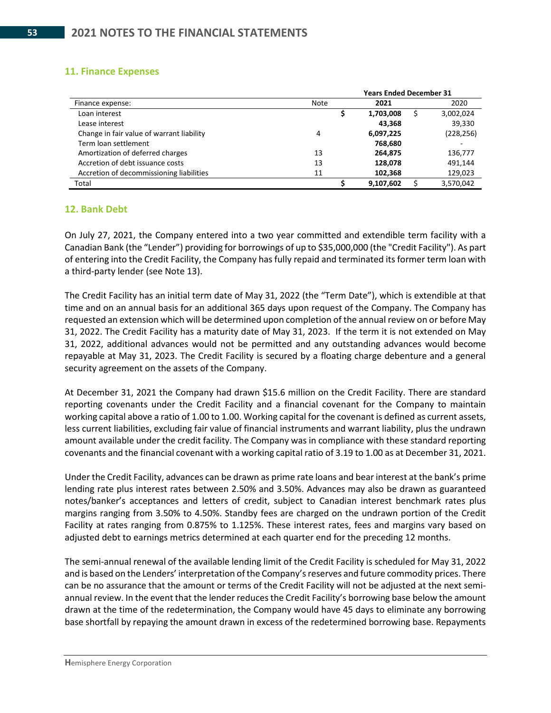### **11. Finance Expenses**

|                                           | <b>Years Ended December 31</b> |           |  |            |  |  |  |  |  |  |
|-------------------------------------------|--------------------------------|-----------|--|------------|--|--|--|--|--|--|
| Finance expense:                          | Note                           | 2021      |  | 2020       |  |  |  |  |  |  |
| Loan interest                             |                                | 1,703,008 |  | 3,002,024  |  |  |  |  |  |  |
| Lease interest                            |                                | 43,368    |  | 39,330     |  |  |  |  |  |  |
| Change in fair value of warrant liability | 4                              | 6,097,225 |  | (228, 256) |  |  |  |  |  |  |
| Term loan settlement                      |                                | 768,680   |  |            |  |  |  |  |  |  |
| Amortization of deferred charges          | 13                             | 264,875   |  | 136,777    |  |  |  |  |  |  |
| Accretion of debt issuance costs          | 13                             | 128,078   |  | 491.144    |  |  |  |  |  |  |
| Accretion of decommissioning liabilities  | 11                             | 102,368   |  | 129,023    |  |  |  |  |  |  |
| Total                                     |                                | 9,107,602 |  | 3,570,042  |  |  |  |  |  |  |

### **12. Bank Debt**

On July 27, 2021, the Company entered into a two year committed and extendible term facility with a Canadian Bank (the "Lender") providing for borrowings of up to \$35,000,000 (the "Credit Facility"). As part of entering into the Credit Facility, the Company has fully repaid and terminated its former term loan with a third-party lender (see Note 13).

The Credit Facility has an initial term date of May 31, 2022 (the "Term Date"), which is extendible at that time and on an annual basis for an additional 365 days upon request of the Company. The Company has requested an extension which will be determined upon completion of the annual review on or before May 31, 2022. The Credit Facility has a maturity date of May 31, 2023. If the term it is not extended on May 31, 2022, additional advances would not be permitted and any outstanding advances would become repayable at May 31, 2023. The Credit Facility is secured by a floating charge debenture and a general security agreement on the assets of the Company.

At December 31, 2021 the Company had drawn \$15.6 million on the Credit Facility. There are standard reporting covenants under the Credit Facility and a financial covenant for the Company to maintain working capital above a ratio of 1.00 to 1.00. Working capital for the covenant is defined as current assets, less current liabilities, excluding fair value of financial instruments and warrant liability, plus the undrawn amount available under the credit facility. The Company was in compliance with these standard reporting covenants and the financial covenant with a working capital ratio of 3.19 to 1.00 as at December 31, 2021.

Under the Credit Facility, advances can be drawn as prime rate loans and bear interest at the bank's prime lending rate plus interest rates between 2.50% and 3.50%. Advances may also be drawn as guaranteed notes/banker's acceptances and letters of credit, subject to Canadian interest benchmark rates plus margins ranging from 3.50% to 4.50%. Standby fees are charged on the undrawn portion of the Credit Facility at rates ranging from 0.875% to 1.125%. These interest rates, fees and margins vary based on adjusted debt to earnings metrics determined at each quarter end for the preceding 12 months.

The semi-annual renewal of the available lending limit of the Credit Facility is scheduled for May 31, 2022 and is based on the Lenders' interpretation of the Company's reserves and future commodity prices. There can be no assurance that the amount or terms of the Credit Facility will not be adjusted at the next semiannual review. In the event that the lender reduces the Credit Facility's borrowing base below the amount drawn at the time of the redetermination, the Company would have 45 days to eliminate any borrowing base shortfall by repaying the amount drawn in excess of the redetermined borrowing base. Repayments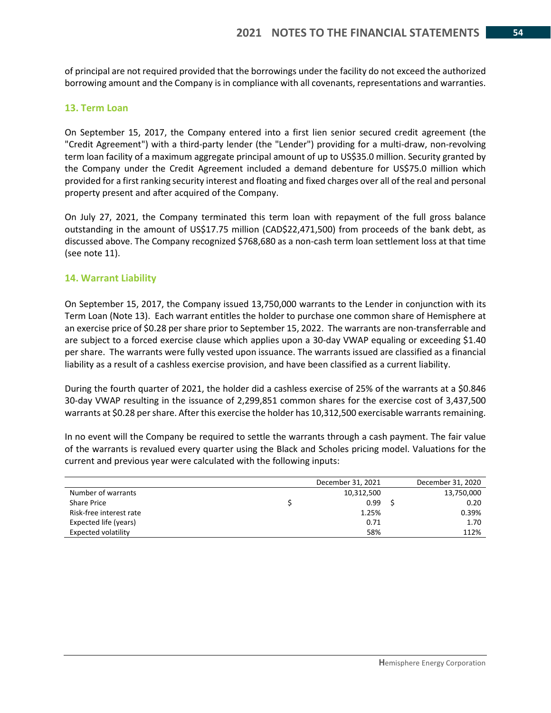of principal are not required provided that the borrowings under the facility do not exceed the authorized borrowing amount and the Company is in compliance with all covenants, representations and warranties.

#### **13. Term Loan**

On September 15, 2017, the Company entered into a first lien senior secured credit agreement (the "Credit Agreement") with a third-party lender (the "Lender") providing for a multi-draw, non-revolving term loan facility of a maximum aggregate principal amount of up to US\$35.0 million. Security granted by the Company under the Credit Agreement included a demand debenture for US\$75.0 million which provided for a first ranking security interest and floating and fixed charges over all of the real and personal property present and after acquired of the Company.

On July 27, 2021, the Company terminated this term loan with repayment of the full gross balance outstanding in the amount of US\$17.75 million (CAD\$22,471,500) from proceeds of the bank debt, as discussed above. The Company recognized \$768,680 as a non-cash term loan settlement loss at that time (see note 11).

#### **14. Warrant Liability**

On September 15, 2017, the Company issued 13,750,000 warrants to the Lender in conjunction with its Term Loan (Note 13). Each warrant entitles the holder to purchase one common share of Hemisphere at an exercise price of \$0.28 per share prior to September 15, 2022. The warrants are non-transferrable and are subject to a forced exercise clause which applies upon a 30-day VWAP equaling or exceeding \$1.40 per share. The warrants were fully vested upon issuance. The warrants issued are classified as a financial liability as a result of a cashless exercise provision, and have been classified as a current liability.

During the fourth quarter of 2021, the holder did a cashless exercise of 25% of the warrants at a \$0.846 30-day VWAP resulting in the issuance of 2,299,851 common shares for the exercise cost of 3,437,500 warrants at \$0.28 per share. After this exercise the holder has 10,312,500 exercisable warrants remaining.

In no event will the Company be required to settle the warrants through a cash payment. The fair value of the warrants is revalued every quarter using the Black and Scholes pricing model. Valuations for the current and previous year were calculated with the following inputs:

|                            | December 31, 2021 | December 31, 2020 |
|----------------------------|-------------------|-------------------|
| Number of warrants         | 10,312,500        | 13,750,000        |
| <b>Share Price</b>         | 0.99              | 0.20              |
| Risk-free interest rate    | 1.25%             | 0.39%             |
| Expected life (years)      | 0.71              | 1.70              |
| <b>Expected volatility</b> | 58%               | 112%              |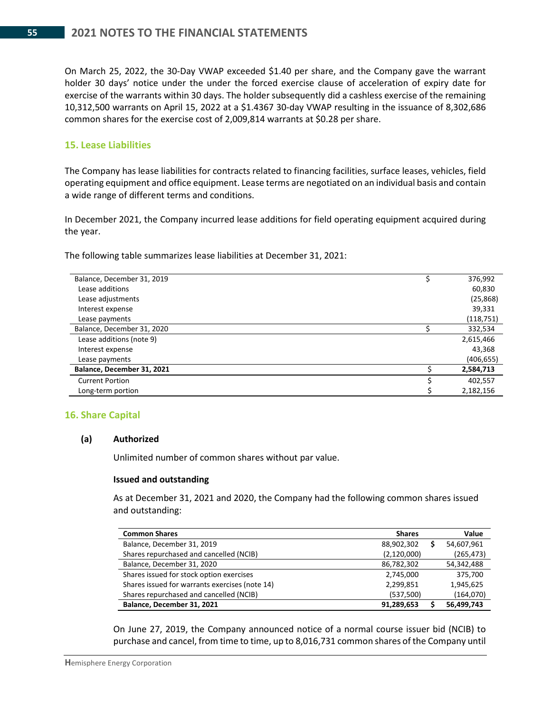On March 25, 2022, the 30-Day VWAP exceeded \$1.40 per share, and the Company gave the warrant holder 30 days' notice under the under the forced exercise clause of acceleration of expiry date for exercise of the warrants within 30 days. The holder subsequently did a cashless exercise of the remaining 10,312,500 warrants on April 15, 2022 at a \$1.4367 30-day VWAP resulting in the issuance of 8,302,686 common shares for the exercise cost of 2,009,814 warrants at \$0.28 per share.

#### **15. Lease Liabilities**

The Company has lease liabilities for contracts related to financing facilities, surface leases, vehicles, field operating equipment and office equipment. Lease terms are negotiated on an individual basis and contain a wide range of different terms and conditions.

In December 2021, the Company incurred lease additions for field operating equipment acquired during the year.

The following table summarizes lease liabilities at December 31, 2021:

| Balance, December 31, 2019 | 376,992    |
|----------------------------|------------|
| Lease additions            | 60,830     |
| Lease adjustments          | (25, 868)  |
| Interest expense           | 39,331     |
| Lease payments             | (118,751)  |
| Balance, December 31, 2020 | 332,534    |
| Lease additions (note 9)   | 2,615,466  |
| Interest expense           | 43,368     |
| Lease payments             | (406, 655) |
| Balance, December 31, 2021 | 2,584,713  |
| <b>Current Portion</b>     | 402.557    |
| Long-term portion          | 2,182,156  |
|                            |            |

#### **16. Share Capital**

#### **(a) Authorized**

Unlimited number of common shares without par value.

#### **Issued and outstanding**

As at December 31, 2021 and 2020, the Company had the following common shares issued and outstanding:

| <b>Common Shares</b>                           | <b>Shares</b> | Value      |
|------------------------------------------------|---------------|------------|
| Balance, December 31, 2019                     | 88,902,302    | 54,607,961 |
| Shares repurchased and cancelled (NCIB)        | (2, 120, 000) | (265, 473) |
| Balance, December 31, 2020                     | 86,782,302    | 54,342,488 |
| Shares issued for stock option exercises       | 2,745,000     | 375,700    |
| Shares issued for warrants exercises (note 14) | 2,299,851     | 1,945,625  |
| Shares repurchased and cancelled (NCIB)        | (537,500)     | (164,070)  |
| Balance, December 31, 2021                     | 91,289,653    | 56,499,743 |

On June 27, 2019, the Company announced notice of a normal course issuer bid (NCIB) to purchase and cancel, from time to time, up to 8,016,731 common shares of the Company until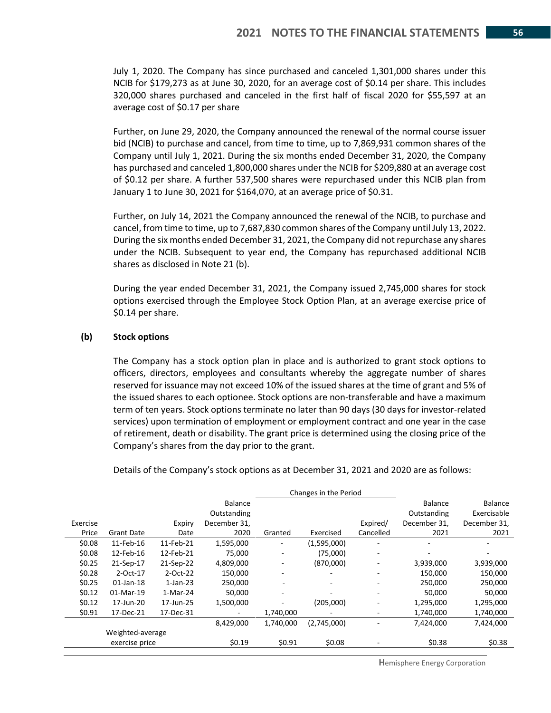July 1, 2020. The Company has since purchased and canceled 1,301,000 shares under this NCIB for \$179,273 as at June 30, 2020, for an average cost of \$0.14 per share. This includes 320,000 shares purchased and canceled in the first half of fiscal 2020 for \$55,597 at an average cost of \$0.17 per share

Further, on June 29, 2020, the Company announced the renewal of the normal course issuer bid (NCIB) to purchase and cancel, from time to time, up to 7,869,931 common shares of the Company until July 1, 2021. During the six months ended December 31, 2020, the Company has purchased and canceled 1,800,000 shares under the NCIB for \$209,880 at an average cost of \$0.12 per share. A further 537,500 shares were repurchased under this NCIB plan from January 1 to June 30, 2021 for \$164,070, at an average price of \$0.31.

Further, on July 14, 2021 the Company announced the renewal of the NCIB, to purchase and cancel, from time to time, up to 7,687,830 common shares of the Company until July 13, 2022. During the six months ended December 31, 2021, the Company did not repurchase any shares under the NCIB. Subsequent to year end, the Company has repurchased additional NCIB shares as disclosed in Note 21 (b).

During the year ended December 31, 2021, the Company issued 2,745,000 shares for stock options exercised through the Employee Stock Option Plan, at an average exercise price of \$0.14 per share.

#### **(b) Stock options**

The Company has a stock option plan in place and is authorized to grant stock options to officers, directors, employees and consultants whereby the aggregate number of shares reserved for issuance may not exceed 10% of the issued shares at the time of grant and 5% of the issued shares to each optionee. Stock options are non-transferable and have a maximum term of ten years. Stock options terminate no later than 90 days (30 days for investor-related services) upon termination of employment or employment contract and one year in the case of retirement, death or disability. The grant price is determined using the closing price of the Company's shares from the day prior to the grant.

Details of the Company's stock options as at December 31, 2021 and 2020 are as follows:

|          |                   |             |              | Changes in the Period        |             |                          |                |                |
|----------|-------------------|-------------|--------------|------------------------------|-------------|--------------------------|----------------|----------------|
|          |                   |             | Balance      |                              |             |                          | <b>Balance</b> | <b>Balance</b> |
|          |                   |             | Outstanding  |                              |             |                          | Outstanding    | Exercisable    |
| Exercise |                   | Expiry      | December 31, |                              |             | Expired/                 | December 31,   | December 31,   |
| Price    | <b>Grant Date</b> | Date        | 2020         | Granted                      | Exercised   | Cancelled                | 2021           | 2021           |
| \$0.08   | 11-Feb-16         | 11-Feb-21   | 1,595,000    | $\overline{\phantom{m}}$     | (1,595,000) | ٠                        |                |                |
| \$0.08   | 12-Feb-16         | 12-Feb-21   | 75,000       | ۰                            | (75,000)    | ٠                        |                |                |
| \$0.25   | 21-Sep-17         | 21-Sep-22   | 4,809,000    | $\qquad \qquad \blacksquare$ | (870,000)   | ٠                        | 3,939,000      | 3,939,000      |
| \$0.28   | 2-Oct-17          | 2-Oct-22    | 150,000      | $\qquad \qquad \blacksquare$ | ۰           | $\overline{\phantom{m}}$ | 150,000        | 150,000        |
| \$0.25   | $01$ -Jan-18      | $1$ -Jan-23 | 250,000      |                              | ٠           | $\overline{\phantom{a}}$ | 250,000        | 250,000        |
| \$0.12   | 01-Mar-19         | 1-Mar-24    | 50.000       | ۰                            | -           | $\overline{\phantom{a}}$ | 50,000         | 50,000         |
| \$0.12   | 17-Jun-20         | 17-Jun-25   | 1,500,000    | ٠                            | (205,000)   | ٠                        | 1,295,000      | 1,295,000      |
| \$0.91   | 17-Dec-21         | 17-Dec-31   |              | 1,740,000                    |             | ۰                        | 1,740,000      | 1,740,000      |
|          |                   |             | 8,429,000    | 1,740,000                    | (2,745,000) |                          | 7.424.000      | 7,424,000      |
|          | Weighted-average  |             |              |                              |             |                          |                |                |
|          | exercise price    |             | \$0.19       | \$0.91                       | \$0.08      |                          | \$0.38         | \$0.38         |

**H**emisphere Energy Corporation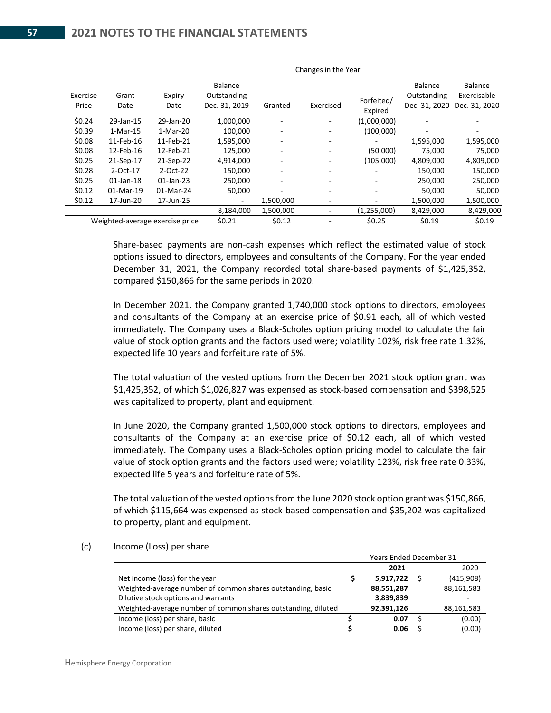|                   |               |                                 |                                                |           | Changes in the Year |                       |                                         |                                         |
|-------------------|---------------|---------------------------------|------------------------------------------------|-----------|---------------------|-----------------------|-----------------------------------------|-----------------------------------------|
| Exercise<br>Price | Grant<br>Date | Expiry<br>Date                  | <b>Balance</b><br>Outstanding<br>Dec. 31, 2019 | Granted   | Exercised           | Forfeited/<br>Expired | Balance<br>Outstanding<br>Dec. 31, 2020 | Balance<br>Exercisable<br>Dec. 31, 2020 |
| \$0.24            | 29-Jan-15     | 29-Jan-20                       | 1,000,000                                      |           |                     | (1,000,000)           |                                         |                                         |
| \$0.39            | 1-Mar-15      | 1-Mar-20                        | 100,000                                        |           |                     | (100,000)             |                                         |                                         |
| \$0.08            | 11-Feb-16     | 11-Feb-21                       | 1,595,000                                      |           | ۰                   |                       | 1,595,000                               | 1,595,000                               |
| \$0.08            | 12-Feb-16     | 12-Feb-21                       | 125.000                                        |           |                     | (50,000)              | 75,000                                  | 75,000                                  |
| \$0.25            | 21-Sep-17     | 21-Sep-22                       | 4,914,000                                      |           |                     | (105,000)             | 4,809,000                               | 4,809,000                               |
| \$0.28            | 2-Oct-17      | 2-Oct-22                        | 150,000                                        | ۰         | ۰                   |                       | 150,000                                 | 150,000                                 |
| \$0.25            | $01$ -Jan-18  | $01$ -Jan-23                    | 250,000                                        |           |                     |                       | 250,000                                 | 250,000                                 |
| \$0.12            | 01-Mar-19     | 01-Mar-24                       | 50,000                                         |           |                     | ۰                     | 50,000                                  | 50,000                                  |
| \$0.12            | 17-Jun-20     | 17-Jun-25                       | $\overline{\phantom{a}}$                       | 1,500,000 | ۰                   | ٠                     | 1,500,000                               | 1,500,000                               |
|                   |               |                                 | 8,184,000                                      | 1,500,000 |                     | (1,255,000)           | 8,429,000                               | 8,429,000                               |
|                   |               | Weighted-average exercise price | \$0.21                                         | \$0.12    |                     | \$0.25                | \$0.19                                  | \$0.19                                  |

Share-based payments are non-cash expenses which reflect the estimated value of stock options issued to directors, employees and consultants of the Company. For the year ended December 31, 2021, the Company recorded total share-based payments of \$1,425,352, compared \$150,866 for the same periods in 2020.

In December 2021, the Company granted 1,740,000 stock options to directors, employees and consultants of the Company at an exercise price of \$0.91 each, all of which vested immediately. The Company uses a Black-Scholes option pricing model to calculate the fair value of stock option grants and the factors used were; volatility 102%, risk free rate 1.32%, expected life 10 years and forfeiture rate of 5%.

The total valuation of the vested options from the December 2021 stock option grant was \$1,425,352, of which \$1,026,827 was expensed as stock-based compensation and \$398,525 was capitalized to property, plant and equipment.

In June 2020, the Company granted 1,500,000 stock options to directors, employees and consultants of the Company at an exercise price of \$0.12 each, all of which vested immediately. The Company uses a Black-Scholes option pricing model to calculate the fair value of stock option grants and the factors used were; volatility 123%, risk free rate 0.33%, expected life 5 years and forfeiture rate of 5%.

The total valuation of the vested options from the June 2020 stock option grant was \$150,866, of which \$115,664 was expensed as stock-based compensation and \$35,202 was capitalized to property, plant and equipment.

#### (c) Income (Loss) per share

|                                                               | <b>Years Ended December 31</b> |  |            |  |  |  |  |
|---------------------------------------------------------------|--------------------------------|--|------------|--|--|--|--|
|                                                               | 2021                           |  | 2020       |  |  |  |  |
| Net income (loss) for the year                                | 5,917,722                      |  | (415,908)  |  |  |  |  |
| Weighted-average number of common shares outstanding, basic   | 88,551,287                     |  | 88,161,583 |  |  |  |  |
| Dilutive stock options and warrants                           | 3,839,839                      |  |            |  |  |  |  |
| Weighted-average number of common shares outstanding, diluted | 92,391,126                     |  | 88,161,583 |  |  |  |  |
| Income (loss) per share, basic                                | 0.07                           |  | (0.00)     |  |  |  |  |
| Income (loss) per share, diluted                              | 0.06                           |  | (0.00)     |  |  |  |  |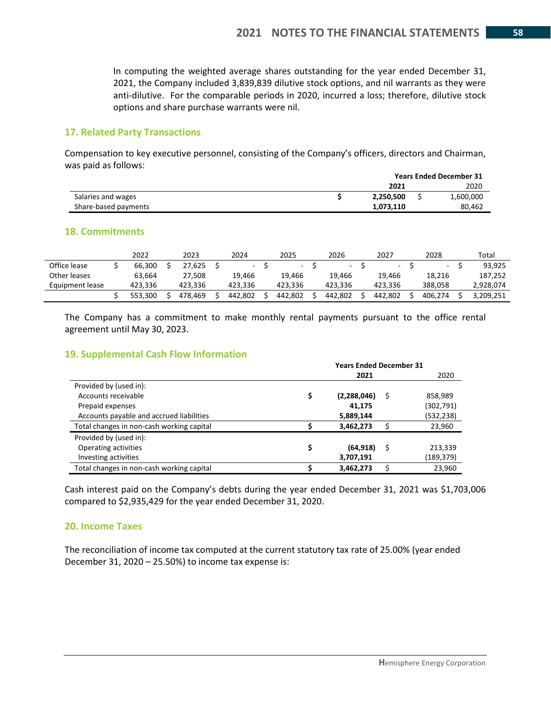In computing the weighted average shares outstanding for the year ended December 31, 2021, the Company included 3,839,839 dilutive stock options, and nil warrants as they were anti-dilutive. For the comparable periods in 2020, incurred a loss; therefore, dilutive stock options and share purchase warrants were nil.

#### **17. Related Party Transactions**

Compensation to key executive personnel, consisting of the Company's officers, directors and Chairman, was paid as follows:

|                      | <b>Years Ended December 31</b> |  |           |  |  |  |
|----------------------|--------------------------------|--|-----------|--|--|--|
|                      | 2021                           |  | 2020      |  |  |  |
| Salaries and wages   | 2,250,500                      |  | 1,600,000 |  |  |  |
| Share-based payments | 1.073.110<br>80.462            |  |           |  |  |  |

#### **18. Commitments**

|                 | 2022    | 2023    | 2024    | 2025    | 2026    | 2027    | 2028    | Total     |
|-----------------|---------|---------|---------|---------|---------|---------|---------|-----------|
| Office lease    | 66.300  | 27.625  |         | $\sim$  | $\sim$  | $\sim$  |         | 93.925    |
| Other leases    | 63.664  | 27.508  | 19.466  | 19.466  | 19.466  | 19.466  | 18.216  | 187.252   |
| Equipment lease | 423.336 | 423.336 | 423.336 | 423.336 | 423.336 | 423.336 | 388.058 | 2.928.074 |
|                 | 553.300 | 478.469 | 442.802 | 442.802 | 442.802 | 442.802 | 406.274 | 3.209.251 |

The Company has a commitment to make monthly rental payments pursuant to the office rental agreement until May 30, 2023.

#### **19. Supplemental Cash Flow Information**

|                                           | <b>Years Ended December 31</b> |             |   |            |  |  |  |
|-------------------------------------------|--------------------------------|-------------|---|------------|--|--|--|
|                                           |                                | 2021        |   | 2020       |  |  |  |
| Provided by (used in):                    |                                |             |   |            |  |  |  |
| Accounts receivable                       | \$                             | (2,288,046) | S | 858,989    |  |  |  |
| Prepaid expenses                          |                                | 41.175      |   | (302, 791) |  |  |  |
| Accounts payable and accrued liabilities  |                                | 5,889,144   |   | (532,238)  |  |  |  |
| Total changes in non-cash working capital |                                | 3,462,273   | S | 23,960     |  |  |  |
| Provided by (used in):                    |                                |             |   |            |  |  |  |
| Operating activities                      | \$                             | (64, 918)   | S | 213,339    |  |  |  |
| Investing activities                      |                                | 3,707,191   |   | (189,379)  |  |  |  |
| Total changes in non-cash working capital |                                | 3,462,273   | S | 23.960     |  |  |  |

Cash interest paid on the Company's debts during the year ended December 31, 2021 was \$1,703,006 compared to \$2,935,429 for the year ended December 31, 2020.

#### **20. Income Taxes**

The reconciliation of income tax computed at the current statutory tax rate of 25.00% (year ended December 31, 2020 – 25.50%) to income tax expense is: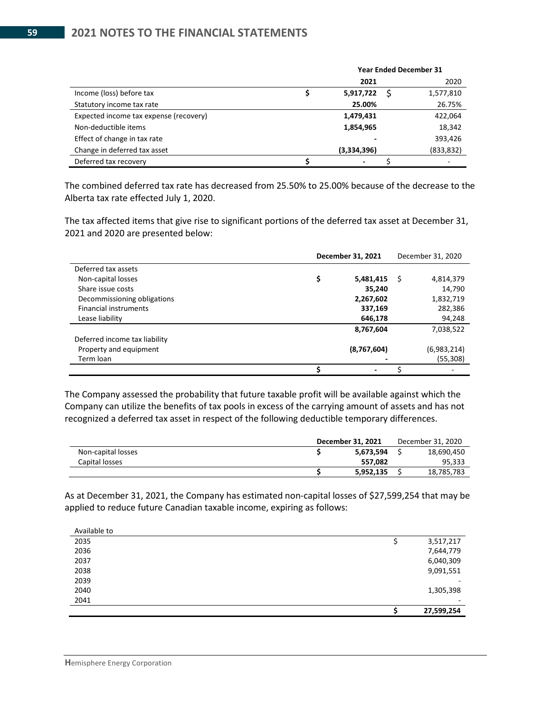|                                        | <b>Year Ended December 31</b> |  |            |
|----------------------------------------|-------------------------------|--|------------|
|                                        | 2021                          |  | 2020       |
| Income (loss) before tax               | 5,917,722                     |  | 1,577,810  |
| Statutory income tax rate              | 25.00%                        |  | 26.75%     |
| Expected income tax expense (recovery) | 1,479,431                     |  | 422,064    |
| Non-deductible items                   | 1,854,965                     |  | 18,342     |
| Effect of change in tax rate           |                               |  | 393,426    |
| Change in deferred tax asset           | (3,334,396)                   |  | (833, 832) |
| Deferred tax recovery                  |                               |  |            |

The combined deferred tax rate has decreased from 25.50% to 25.00% because of the decrease to the Alberta tax rate effected July 1, 2020.

The tax affected items that give rise to significant portions of the deferred tax asset at December 31, 2021 and 2020 are presented below:

|                               | December 31, 2021 |             | December 31, 2020 |             |
|-------------------------------|-------------------|-------------|-------------------|-------------|
| Deferred tax assets           |                   |             |                   |             |
| Non-capital losses            | \$                | 5,481,415   | S                 | 4,814,379   |
| Share issue costs             |                   | 35,240      |                   | 14,790      |
| Decommissioning obligations   |                   | 2,267,602   |                   | 1,832,719   |
| <b>Financial instruments</b>  |                   | 337,169     |                   | 282,386     |
| Lease liability               |                   | 646,178     |                   | 94,248      |
|                               |                   | 8,767,604   |                   | 7,038,522   |
| Deferred income tax liability |                   |             |                   |             |
| Property and equipment        |                   | (8,767,604) |                   | (6,983,214) |
| Term loan                     |                   |             |                   | (55,308)    |
|                               |                   |             |                   | ۰           |

The Company assessed the probability that future taxable profit will be available against which the Company can utilize the benefits of tax pools in excess of the carrying amount of assets and has not recognized a deferred tax asset in respect of the following deductible temporary differences.

|                    | December 31, 2021 |  | December 31, 2020 |  |
|--------------------|-------------------|--|-------------------|--|
| Non-capital losses | 5,673,594         |  | 18.690.450        |  |
| Capital losses     | 557.082           |  | 95,333            |  |
|                    | 5,952,135         |  | 18,785,783        |  |

As at December 31, 2021, the Company has estimated non-capital losses of \$27,599,254 that may be applied to reduce future Canadian taxable income, expiring as follows:

|              | 27,599,254               |
|--------------|--------------------------|
| 2041         | $\overline{\phantom{a}}$ |
| 2040         | 1,305,398                |
| 2039         | -                        |
| 2038         | 9,091,551                |
| 2037         | 6,040,309                |
| 2036         | 7,644,779                |
| 2035         | 3,517,217                |
| Available to |                          |

Available to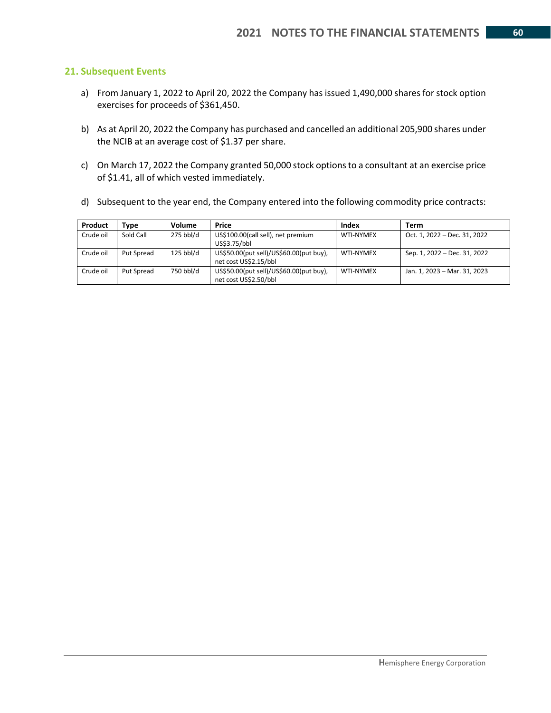#### **21. Subsequent Events**

- a) From January 1, 2022 to April 20, 2022 the Company has issued 1,490,000 shares for stock option exercises for proceeds of \$361,450.
- b) As at April 20, 2022 the Company has purchased and cancelled an additional 205,900 shares under the NCIB at an average cost of \$1.37 per share.
- c) On March 17, 2022 the Company granted 50,000 stock options to a consultant at an exercise price of \$1.41, all of which vested immediately.
- d) Subsequent to the year end, the Company entered into the following commodity price contracts:

| Product   | Type       | Volume      | Price                                                            | Index            | Term                         |
|-----------|------------|-------------|------------------------------------------------------------------|------------------|------------------------------|
| Crude oil | Sold Call  | 275 bbl/d   | US\$100.00(call sell), net premium<br>US\$3.75/bbl               | WTI-NYMEX        | Oct. 1, 2022 - Dec. 31, 2022 |
| Crude oil | Put Spread | $125$ bbl/d | US\$50.00(put sell)/US\$60.00(put buy),<br>net cost US\$2.15/bbl | WTI-NYMEX        | Sep. 1, 2022 – Dec. 31, 2022 |
| Crude oil | Put Spread | 750 bbl/d   | US\$50.00(put sell)/US\$60.00(put buy),<br>net cost US\$2.50/bbl | <b>WTI-NYMEX</b> | Jan. 1, 2023 - Mar. 31, 2023 |